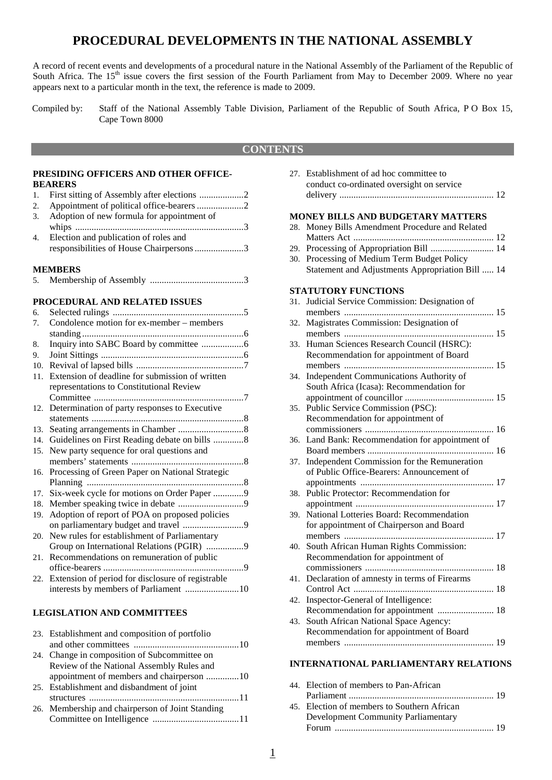## **PROCEDURAL DEVELOPMENTS IN THE NATIONAL ASSEMBLY**

A record of recent events and developments of a procedural nature in the National Assembly of the Parliament of the Republic of South Africa. The 15<sup>th</sup> issue covers the first session of the Fourth Parliament from May to December 2009. Where no year appears next to a particular month in the text, the reference is made to 2009.

Compiled by: Staff of the National Assembly Table Division, Parliament of the Republic of South Africa, P O Box 15, Cape Town 8000

#### **CONTENTS**

#### **PRESIDING OFFICERS AND OTHER OFFICE-BEARERS**

|    | 3. Adoption of new formula for appointment of |
|----|-----------------------------------------------|
|    |                                               |
| 4. | Election and publication of roles and         |

|  | responsibilities of House Chairpersons 3 |  |
|--|------------------------------------------|--|
|  |                                          |  |

#### **MEMBERS**

| 5. |  |  |
|----|--|--|
|----|--|--|

#### **PROCEDURAL AND RELATED ISSUES**

| 6.  |                                                   |
|-----|---------------------------------------------------|
| 7.  | Condolence motion for ex-member - members         |
|     |                                                   |
| 8.  |                                                   |
| 9.  |                                                   |
| 10. |                                                   |
| 11. | Extension of deadline for submission of written   |
|     | representations to Constitutional Review          |
|     |                                                   |
| 12. | Determination of party responses to Executive     |
|     |                                                   |
| 13. |                                                   |
| 14. | Guidelines on First Reading debate on bills 8     |
| 15. | New party sequence for oral questions and         |
|     |                                                   |
| 16. | Processing of Green Paper on National Strategic   |
|     |                                                   |
| 17. | Six-week cycle for motions on Order Paper 9       |
| 18. |                                                   |
| 19. | Adoption of report of POA on proposed policies    |
|     | on parliamentary budget and travel 9              |
| 20. | New rules for establishment of Parliamentary      |
|     | Group on International Relations (PGIR) 9         |
| 21. | Recommendations on remuneration of public         |
|     |                                                   |
| 22. | Extension of period for disclosure of registrable |
|     | interests by members of Parliament 10             |

#### **LEGISLATION AND COMMITTEES**

| 23. Establishment and composition of portfolio   |
|--------------------------------------------------|
|                                                  |
| 24. Change in composition of Subcommittee on     |
| Review of the National Assembly Rules and        |
|                                                  |
| 25. Establishment and disbandment of joint       |
|                                                  |
| 26. Membership and chairperson of Joint Standing |
|                                                  |
|                                                  |

|     | conduct co-ordinated oversight on service        |
|-----|--------------------------------------------------|
|     |                                                  |
|     | <b>MONEY BILLS AND BUDGETARY MATTERS</b>         |
| 28. | Money Bills Amendment Procedure and Related      |
|     |                                                  |
| 29. | Processing of Appropriation Bill  14             |
| 30. | Processing of Medium Term Budget Policy          |
|     | Statement and Adjustments Appropriation Bill  14 |
|     | <b>STATUTORY FUNCTIONS</b>                       |
| 31. | Judicial Service Commission: Designation of      |
|     |                                                  |
| 32. | Magistrates Commission: Designation of           |
|     |                                                  |
| 33. | Human Sciences Research Council (HSRC):          |
|     | Recommendation for appointment of Board          |
|     |                                                  |
| 34. | Independent Communications Authority of          |
|     | South Africa (Icasa): Recommendation for         |
|     |                                                  |
| 35. | Public Service Commission (PSC):                 |
|     | Recommendation for appointment of                |
|     |                                                  |
| 36. | Land Bank: Recommendation for appointment of     |
|     |                                                  |
| 37. | Independent Commission for the Remuneration      |
|     | of Public Office-Bearers: Announcement of        |
|     |                                                  |
| 38. | Public Protector: Recommendation for             |
| 39. | National Lotteries Board: Recommendation         |
|     | for appointment of Chairperson and Board         |
|     |                                                  |
| 40. | South African Human Rights Commission:           |
|     | Recommendation for appointment of                |
|     |                                                  |
| 41. | Declaration of amnesty in terms of Firearms      |
|     |                                                  |
| 42. | Inspector-General of Intelligence:               |
|     | Recommendation for appointment  18               |
| 43. | South African National Space Agency:             |
|     | Recommendation for appointment of Board          |
|     |                                                  |
|     |                                                  |
|     |                                                  |

27. Establishment of ad hoc committee to

#### **INTERNATIONAL PARLIAMENTARY RELATIONS**

| 44. Election of members to Pan-African      |  |
|---------------------------------------------|--|
|                                             |  |
| 45. Election of members to Southern African |  |
| <b>Development Community Parliamentary</b>  |  |
|                                             |  |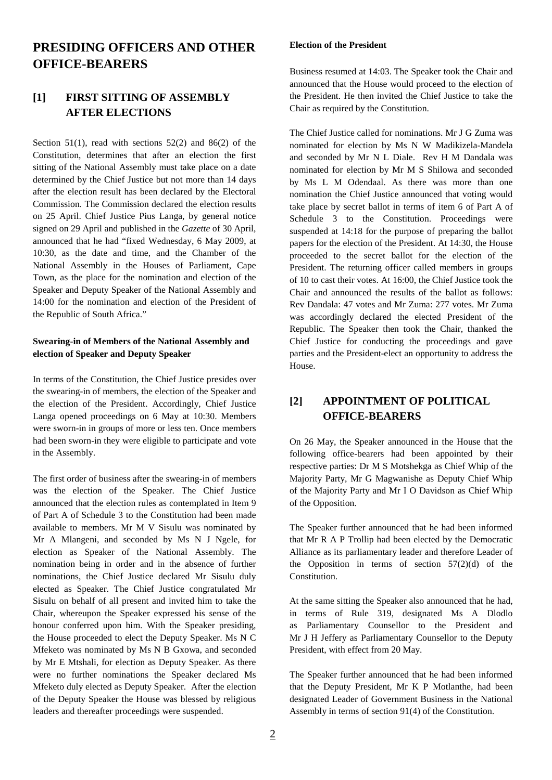# **PRESIDING OFFICERS AND OTHER OFFICE-BEARERS**

#### **[1] FIRST SITTING OF ASSEMBLY AFTER ELECTIONS**

Section 51(1), read with sections  $52(2)$  and  $86(2)$  of the Constitution, determines that after an election the first sitting of the National Assembly must take place on a date determined by the Chief Justice but not more than 14 days after the election result has been declared by the Electoral Commission. The Commission declared the election results on 25 April. Chief Justice Pius Langa, by general notice signed on 29 April and published in the *Gazette* of 30 April, announced that he had "fixed Wednesday, 6 May 2009, at 10:30, as the date and time, and the Chamber of the National Assembly in the Houses of Parliament, Cape Town, as the place for the nomination and election of the Speaker and Deputy Speaker of the National Assembly and 14:00 for the nomination and election of the President of the Republic of South Africa."

#### **Swearing-in of Members of the National Assembly and election of Speaker and Deputy Speaker**

In terms of the Constitution, the Chief Justice presides over the swearing-in of members, the election of the Speaker and the election of the President. Accordingly, Chief Justice Langa opened proceedings on 6 May at 10:30. Members were sworn-in in groups of more or less ten. Once members had been sworn-in they were eligible to participate and vote in the Assembly.

The first order of business after the swearing-in of members was the election of the Speaker. The Chief Justice announced that the election rules as contemplated in Item 9 of Part A of Schedule 3 to the Constitution had been made available to members. Mr M V Sisulu was nominated by Mr A Mlangeni, and seconded by Ms N J Ngele, for election as Speaker of the National Assembly. The nomination being in order and in the absence of further nominations, the Chief Justice declared Mr Sisulu duly elected as Speaker. The Chief Justice congratulated Mr Sisulu on behalf of all present and invited him to take the Chair, whereupon the Speaker expressed his sense of the honour conferred upon him. With the Speaker presiding, the House proceeded to elect the Deputy Speaker. Ms N C Mfeketo was nominated by Ms N B Gxowa, and seconded by Mr E Mtshali, for election as Deputy Speaker. As there were no further nominations the Speaker declared Ms Mfeketo duly elected as Deputy Speaker. After the election of the Deputy Speaker the House was blessed by religious leaders and thereafter proceedings were suspended.

#### **Election of the President**

Business resumed at 14:03. The Speaker took the Chair and announced that the House would proceed to the election of the President. He then invited the Chief Justice to take the Chair as required by the Constitution.

The Chief Justice called for nominations. Mr J G Zuma was nominated for election by Ms N W Madikizela-Mandela and seconded by Mr N L Diale. Rev H M Dandala was nominated for election by Mr M S Shilowa and seconded by Ms L M Odendaal. As there was more than one nomination the Chief Justice announced that voting would take place by secret ballot in terms of item 6 of Part A of Schedule 3 to the Constitution. Proceedings were suspended at 14:18 for the purpose of preparing the ballot papers for the election of the President. At 14:30, the House proceeded to the secret ballot for the election of the President. The returning officer called members in groups of 10 to cast their votes. At 16:00, the Chief Justice took the Chair and announced the results of the ballot as follows: Rev Dandala: 47 votes and Mr Zuma: 277 votes. Mr Zuma was accordingly declared the elected President of the Republic. The Speaker then took the Chair, thanked the Chief Justice for conducting the proceedings and gave parties and the President-elect an opportunity to address the House.

### **[2] APPOINTMENT OF POLITICAL OFFICE-BEARERS**

On 26 May, the Speaker announced in the House that the following office-bearers had been appointed by their respective parties: Dr M S Motshekga as Chief Whip of the Majority Party, Mr G Magwanishe as Deputy Chief Whip of the Majority Party and Mr I O Davidson as Chief Whip of the Opposition.

The Speaker further announced that he had been informed that Mr R A P Trollip had been elected by the Democratic Alliance as its parliamentary leader and therefore Leader of the Opposition in terms of section  $57(2)(d)$  of the Constitution.

At the same sitting the Speaker also announced that he had, in terms of Rule 319, designated Ms A Dlodlo as Parliamentary Counsellor to the President and Mr J H Jeffery as Parliamentary Counsellor to the Deputy President, with effect from 20 May.

The Speaker further announced that he had been informed that the Deputy President, Mr K P Motlanthe, had been designated Leader of Government Business in the National Assembly in terms of section 91(4) of the Constitution.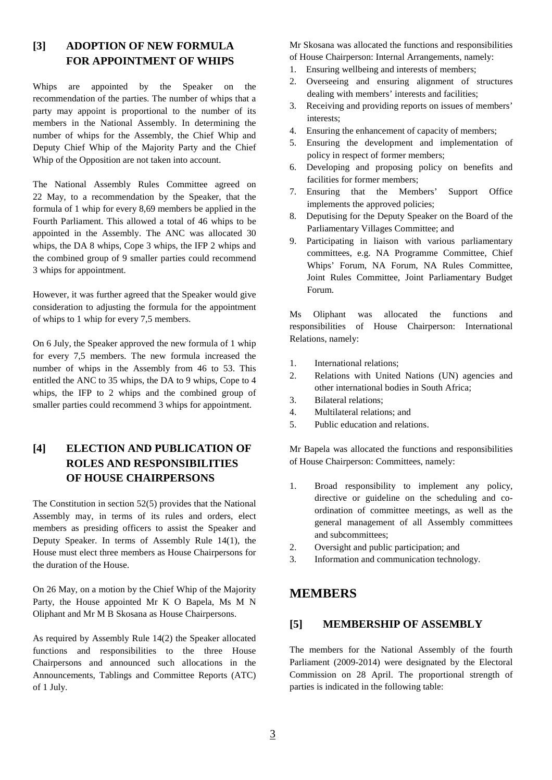### **[3] ADOPTION OF NEW FORMULA FOR APPOINTMENT OF WHIPS**

Whips are appointed by the Speaker on the recommendation of the parties. The number of whips that a party may appoint is proportional to the number of its members in the National Assembly. In determining the number of whips for the Assembly, the Chief Whip and Deputy Chief Whip of the Majority Party and the Chief Whip of the Opposition are not taken into account.

The National Assembly Rules Committee agreed on 22 May, to a recommendation by the Speaker, that the formula of 1 whip for every 8,69 members be applied in the Fourth Parliament. This allowed a total of 46 whips to be appointed in the Assembly. The ANC was allocated 30 whips, the DA 8 whips, Cope 3 whips, the IFP 2 whips and the combined group of 9 smaller parties could recommend 3 whips for appointment.

However, it was further agreed that the Speaker would give consideration to adjusting the formula for the appointment of whips to 1 whip for every 7,5 members.

On 6 July, the Speaker approved the new formula of 1 whip for every 7,5 members. The new formula increased the number of whips in the Assembly from 46 to 53. This entitled the ANC to 35 whips, the DA to 9 whips, Cope to 4 whips, the IFP to 2 whips and the combined group of smaller parties could recommend 3 whips for appointment.

## **[4] ELECTION AND PUBLICATION OF ROLES AND RESPONSIBILITIES OF HOUSE CHAIRPERSONS**

The Constitution in section 52(5) provides that the National Assembly may, in terms of its rules and orders, elect members as presiding officers to assist the Speaker and Deputy Speaker. In terms of Assembly Rule 14(1), the House must elect three members as House Chairpersons for the duration of the House.

On 26 May, on a motion by the Chief Whip of the Majority Party, the House appointed Mr K O Bapela, Ms M N Oliphant and Mr M B Skosana as House Chairpersons.

As required by Assembly Rule 14(2) the Speaker allocated functions and responsibilities to the three House Chairpersons and announced such allocations in the Announcements, Tablings and Committee Reports (ATC) of 1 July.

Mr Skosana was allocated the functions and responsibilities of House Chairperson: Internal Arrangements, namely:

- 1. Ensuring wellbeing and interests of members;
- 2. Overseeing and ensuring alignment of structures dealing with members' interests and facilities;
- 3. Receiving and providing reports on issues of members' interests;
- 4. Ensuring the enhancement of capacity of members;
- 5. Ensuring the development and implementation of policy in respect of former members;
- 6. Developing and proposing policy on benefits and facilities for former members;
- 7. Ensuring that the Members' Support Office implements the approved policies;
- 8. Deputising for the Deputy Speaker on the Board of the Parliamentary Villages Committee; and
- 9. Participating in liaison with various parliamentary committees, e.g. NA Programme Committee, Chief Whips' Forum, NA Forum, NA Rules Committee, Joint Rules Committee, Joint Parliamentary Budget Forum.

Ms Oliphant was allocated the functions and responsibilities of House Chairperson: International Relations, namely:

- 1. International relations;
- 2. Relations with United Nations (UN) agencies and other international bodies in South Africa;
- 3. Bilateral relations;
- 4. Multilateral relations; and
- 5. Public education and relations.

Mr Bapela was allocated the functions and responsibilities of House Chairperson: Committees, namely:

- 1. Broad responsibility to implement any policy, directive or guideline on the scheduling and coordination of committee meetings, as well as the general management of all Assembly committees and subcommittees;
- 2. Oversight and public participation; and
- 3. Information and communication technology.

#### **MEMBERS**

#### **[5] MEMBERSHIP OF ASSEMBLY**

The members for the National Assembly of the fourth Parliament (2009-2014) were designated by the Electoral Commission on 28 April. The proportional strength of parties is indicated in the following table: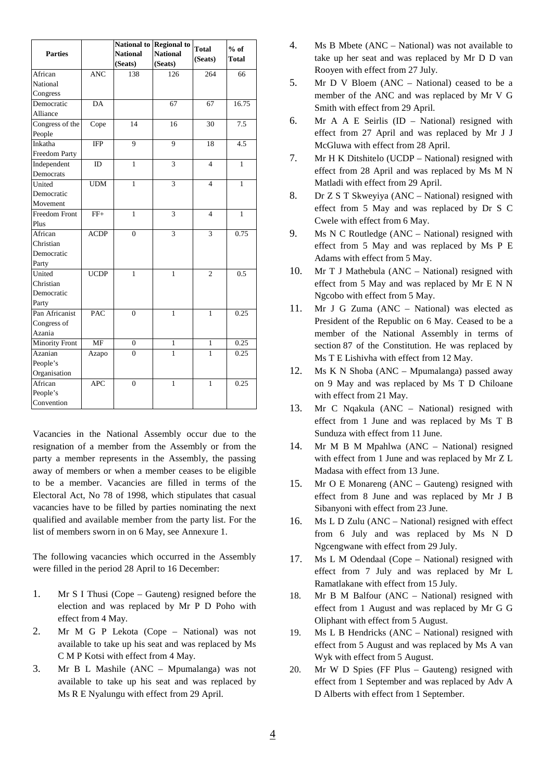|                 |                         |                 | National to Regional to | <b>Total</b>   | $%$ of       |
|-----------------|-------------------------|-----------------|-------------------------|----------------|--------------|
| <b>Parties</b>  |                         | <b>National</b> | <b>National</b>         | (Seats)        | <b>Total</b> |
|                 |                         | (Seats)         | (Seats)                 |                |              |
| African         | $\overline{\text{ANC}}$ | 138             | 126                     | 264            | 66           |
| National        |                         |                 |                         |                |              |
| Congress        |                         |                 |                         |                |              |
| Democratic      | DA                      |                 | 67                      | 67             | 16.75        |
| Alliance        |                         |                 |                         |                |              |
| Congress of the | Cope                    | 14              | 16                      | 30             | 7.5          |
| People          |                         |                 |                         |                |              |
| Inkatha         | <b>IFP</b>              | 9               | $\overline{9}$          | 18             | 4.5          |
| Freedom Party   |                         |                 |                         |                |              |
| Independent     | ID                      | $\mathbf{1}$    | 3                       | $\overline{4}$ | $\mathbf{1}$ |
| Democrats       |                         |                 |                         |                |              |
| United          | <b>UDM</b>              | $\mathbf{1}$    | 3                       | $\overline{4}$ | 1            |
| Democratic      |                         |                 |                         |                |              |
| Movement        |                         |                 |                         |                |              |
| Freedom Front   | $FF+$                   | $\mathbf{1}$    | 3                       | $\overline{4}$ | $\mathbf{1}$ |
| Plus            |                         |                 |                         |                |              |
| African         | <b>ACDP</b>             | $\overline{0}$  | $\overline{\mathbf{3}}$ | $\overline{3}$ | 0.75         |
| Christian       |                         |                 |                         |                |              |
| Democratic      |                         |                 |                         |                |              |
| Party           |                         |                 |                         |                |              |
| United          | <b>UCDP</b>             | $\mathbf{1}$    | 1                       | $\overline{c}$ | 0.5          |
| Christian       |                         |                 |                         |                |              |
| Democratic      |                         |                 |                         |                |              |
| Party           |                         |                 |                         |                |              |
| Pan Africanist  | PAC                     | $\overline{0}$  | 1                       | 1              | 0.25         |
| Congress of     |                         |                 |                         |                |              |
| Azania          |                         |                 |                         |                |              |
| Minority Front  | <b>MF</b>               | $\overline{0}$  | $\mathbf{1}$            | $\mathbf{1}$   | 0.25         |
| Azanian         | Azapo                   | $\overline{0}$  | $\mathbf{1}$            | 1              | 0.25         |
| People's        |                         |                 |                         |                |              |
| Organisation    |                         |                 |                         |                |              |
| African         | <b>APC</b>              | $\overline{0}$  | $\mathbf{1}$            | $\mathbf{1}$   | 0.25         |
| People's        |                         |                 |                         |                |              |
| Convention      |                         |                 |                         |                |              |

Vacancies in the National Assembly occur due to the resignation of a member from the Assembly or from the party a member represents in the Assembly, the passing away of members or when a member ceases to be eligible to be a member. Vacancies are filled in terms of the Electoral Act, No 78 of 1998, which stipulates that casual vacancies have to be filled by parties nominating the next qualified and available member from the party list. For the list of members sworn in on 6 May, see Annexure 1.

The following vacancies which occurred in the Assembly were filled in the period 28 April to 16 December:

- 1. Mr S I Thusi (Cope Gauteng) resigned before the election and was replaced by Mr P D Poho with effect from 4 May.
- 2. Mr M G P Lekota (Cope National) was not available to take up his seat and was replaced by Ms C M P Kotsi with effect from 4 May.
- 3. Mr B L Mashile (ANC Mpumalanga) was not available to take up his seat and was replaced by Ms R E Nyalungu with effect from 29 April.
- 4. Ms B Mbete (ANC National) was not available to take up her seat and was replaced by Mr D D van Rooyen with effect from 27 July.
- 5. Mr D V Bloem (ANC National) ceased to be a member of the ANC and was replaced by Mr V G Smith with effect from 29 April.
- 6. Mr A A E Seirlis (ID National) resigned with effect from 27 April and was replaced by Mr J J McGluwa with effect from 28 April.
- 7. Mr H K Ditshitelo (UCDP National) resigned with effect from 28 April and was replaced by Ms M N Matladi with effect from 29 April.
- 8. Dr Z S T Skweyiya (ANC National) resigned with effect from 5 May and was replaced by Dr S C Cwele with effect from 6 May.
- 9. Ms N C Routledge (ANC National) resigned with effect from 5 May and was replaced by Ms P E Adams with effect from 5 May.
- 10. Mr T J Mathebula (ANC National) resigned with effect from 5 May and was replaced by Mr E N N Ngcobo with effect from 5 May.
- 11. Mr J G Zuma (ANC National) was elected as President of the Republic on 6 May. Ceased to be a member of the National Assembly in terms of section 87 of the Constitution. He was replaced by Ms T E Lishivha with effect from 12 May.
- 12. Ms K N Shoba (ANC Mpumalanga) passed away on 9 May and was replaced by Ms T D Chiloane with effect from 21 May.
- 13. Mr C Nqakula (ANC National) resigned with effect from 1 June and was replaced by Ms T B Sunduza with effect from 11 June.
- 14. Mr M B M Mpahlwa (ANC National) resigned with effect from 1 June and was replaced by Mr Z L Madasa with effect from 13 June.
- 15. Mr O E Monareng (ANC Gauteng) resigned with effect from 8 June and was replaced by Mr J B Sibanyoni with effect from 23 June.
- 16. Ms L D Zulu (ANC National) resigned with effect from 6 July and was replaced by Ms N D Ngcengwane with effect from 29 July.
- 17. Ms L M Odendaal (Cope National) resigned with effect from 7 July and was replaced by Mr L Ramatlakane with effect from 15 July.
- 18. Mr B M Balfour (ANC National) resigned with effect from 1 August and was replaced by Mr G G Oliphant with effect from 5 August.
- 19. Ms L B Hendricks (ANC National) resigned with effect from 5 August and was replaced by Ms A van Wyk with effect from 5 August.
- 20. Mr W D Spies (FF Plus Gauteng) resigned with effect from 1 September and was replaced by Adv A D Alberts with effect from 1 September.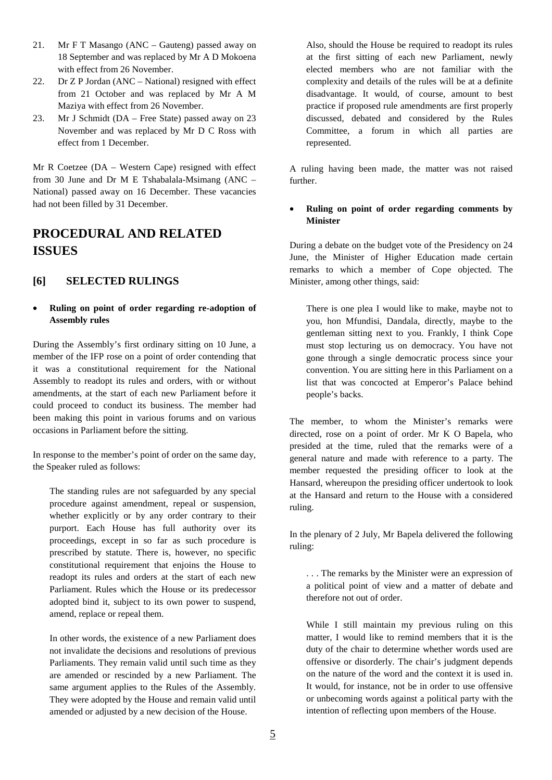- 21. Mr F T Masango (ANC Gauteng) passed away on 18 September and was replaced by Mr A D Mokoena with effect from 26 November.
- 22. Dr Z P Jordan (ANC National) resigned with effect from 21 October and was replaced by Mr A M Maziya with effect from 26 November.
- 23. Mr J Schmidt (DA Free State) passed away on 23 November and was replaced by Mr D C Ross with effect from 1 December.

Mr R Coetzee (DA – Western Cape) resigned with effect from 30 June and Dr M E Tshabalala-Msimang (ANC – National) passed away on 16 December. These vacancies had not been filled by 31 December.

# **PROCEDURAL AND RELATED ISSUES**

#### **[6] SELECTED RULINGS**

#### • **Ruling on point of order regarding re-adoption of Assembly rules**

During the Assembly's first ordinary sitting on 10 June, a member of the IFP rose on a point of order contending that it was a constitutional requirement for the National Assembly to readopt its rules and orders, with or without amendments, at the start of each new Parliament before it could proceed to conduct its business. The member had been making this point in various forums and on various occasions in Parliament before the sitting.

In response to the member's point of order on the same day, the Speaker ruled as follows:

The standing rules are not safeguarded by any special procedure against amendment, repeal or suspension, whether explicitly or by any order contrary to their purport. Each House has full authority over its proceedings, except in so far as such procedure is prescribed by statute. There is, however, no specific constitutional requirement that enjoins the House to readopt its rules and orders at the start of each new Parliament. Rules which the House or its predecessor adopted bind it, subject to its own power to suspend, amend, replace or repeal them.

In other words, the existence of a new Parliament does not invalidate the decisions and resolutions of previous Parliaments. They remain valid until such time as they are amended or rescinded by a new Parliament. The same argument applies to the Rules of the Assembly. They were adopted by the House and remain valid until amended or adjusted by a new decision of the House.

Also, should the House be required to readopt its rules at the first sitting of each new Parliament, newly elected members who are not familiar with the complexity and details of the rules will be at a definite disadvantage. It would, of course, amount to best practice if proposed rule amendments are first properly discussed, debated and considered by the Rules Committee, a forum in which all parties are represented.

A ruling having been made, the matter was not raised further.

#### • **Ruling on point of order regarding comments by Minister**

During a debate on the budget vote of the Presidency on 24 June, the Minister of Higher Education made certain remarks to which a member of Cope objected. The Minister, among other things, said:

There is one plea I would like to make, maybe not to you, hon Mfundisi, Dandala, directly, maybe to the gentleman sitting next to you. Frankly, I think Cope must stop lecturing us on democracy. You have not gone through a single democratic process since your convention. You are sitting here in this Parliament on a list that was concocted at Emperor's Palace behind people's backs.

The member, to whom the Minister's remarks were directed, rose on a point of order. Mr K O Bapela, who presided at the time, ruled that the remarks were of a general nature and made with reference to a party. The member requested the presiding officer to look at the Hansard, whereupon the presiding officer undertook to look at the Hansard and return to the House with a considered ruling.

In the plenary of 2 July, Mr Bapela delivered the following ruling:

. . . The remarks by the Minister were an expression of a political point of view and a matter of debate and therefore not out of order.

While I still maintain my previous ruling on this matter, I would like to remind members that it is the duty of the chair to determine whether words used are offensive or disorderly. The chair's judgment depends on the nature of the word and the context it is used in. It would, for instance, not be in order to use offensive or unbecoming words against a political party with the intention of reflecting upon members of the House.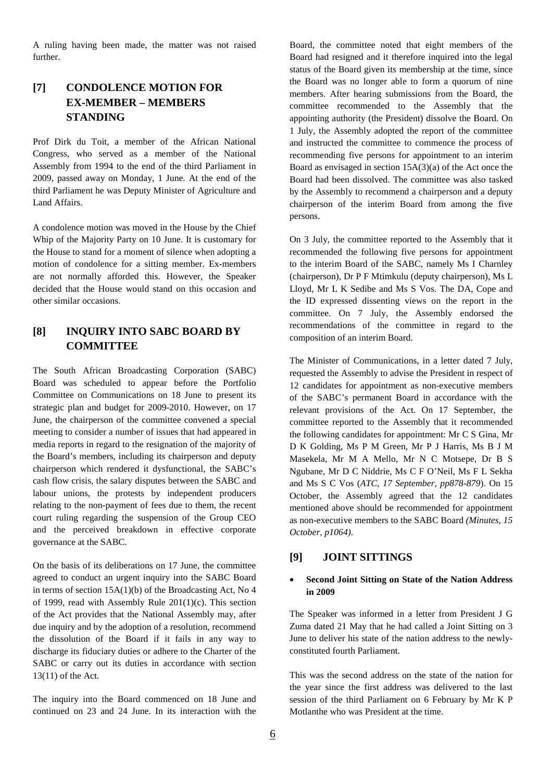A ruling having been made, the matter was not raised further.

## **[7] CONDOLENCE MOTION FOR EX-MEMBER – MEMBERS STANDING**

Prof Dirk du Toit, a member of the African National Congress, who served as a member of the National Assembly from 1994 to the end of the third Parliament in 2009, passed away on Monday, 1 June. At the end of the third Parliament he was Deputy Minister of Agriculture and Land Affairs.

A condolence motion was moved in the House by the Chief Whip of the Majority Party on 10 June. It is customary for the House to stand for a moment of silence when adopting a motion of condolence for a sitting member. Ex-members are not normally afforded this. However, the Speaker decided that the House would stand on this occasion and other similar occasions.

#### **[8] INQUIRY INTO SABC BOARD BY COMMITTEE**

The South African Broadcasting Corporation (SABC) Board was scheduled to appear before the Portfolio Committee on Communications on 18 June to present its strategic plan and budget for 2009-2010. However, on 17 June, the chairperson of the committee convened a special meeting to consider a number of issues that had appeared in media reports in regard to the resignation of the majority of the Board's members, including its chairperson and deputy chairperson which rendered it dysfunctional, the SABC's cash flow crisis, the salary disputes between the SABC and labour unions, the protests by independent producers relating to the non-payment of fees due to them, the recent court ruling regarding the suspension of the Group CEO and the perceived breakdown in effective corporate governance at the SABC.

On the basis of its deliberations on 17 June, the committee agreed to conduct an urgent inquiry into the SABC Board in terms of section 15A(1)(b) of the Broadcasting Act, No 4 of 1999, read with Assembly Rule 201(1)(c). This section of the Act provides that the National Assembly may, after due inquiry and by the adoption of a resolution, recommend the dissolution of the Board if it fails in any way to discharge its fiduciary duties or adhere to the Charter of the SABC or carry out its duties in accordance with section 13(11) of the Act.

The inquiry into the Board commenced on 18 June and continued on 23 and 24 June. In its interaction with the Board, the committee noted that eight members of the Board had resigned and it therefore inquired into the legal status of the Board given its membership at the time, since the Board was no longer able to form a quorum of nine members. After hearing submissions from the Board, the committee recommended to the Assembly that the appointing authority (the President) dissolve the Board. On 1 July, the Assembly adopted the report of the committee and instructed the committee to commence the process of recommending five persons for appointment to an interim Board as envisaged in section 15A(3)(a) of the Act once the Board had been dissolved. The committee was also tasked by the Assembly to recommend a chairperson and a deputy chairperson of the interim Board from among the five persons.

On 3 July, the committee reported to the Assembly that it recommended the following five persons for appointment to the interim Board of the SABC, namely Ms I Charnley (chairperson), Dr P F Mtimkulu (deputy chairperson), Ms L Lloyd, Mr L K Sedibe and Ms S Vos. The DA, Cope and the ID expressed dissenting views on the report in the committee. On 7 July, the Assembly endorsed the recommendations of the committee in regard to the composition of an interim Board.

The Minister of Communications, in a letter dated 7 July, requested the Assembly to advise the President in respect of 12 candidates for appointment as non-executive members of the SABC's permanent Board in accordance with the relevant provisions of the Act. On 17 September, the committee reported to the Assembly that it recommended the following candidates for appointment: Mr C S Gina, Mr D K Golding, Ms P M Green, Mr P J Harris, Ms B J M Masekela, Mr M A Mello, Mr N C Motsepe, Dr B S Ngubane, Mr D C Niddrie, Ms C F O'Neil, Ms F L Sekha and Ms S C Vos (*ATC, 17 September, pp878-879*). On 15 October, the Assembly agreed that the 12 candidates mentioned above should be recommended for appointment as non-executive members to the SABC Board *(Minutes, 15 October, p1064)*.

#### **[9] JOINT SITTINGS**

#### • **Second Joint Sitting on State of the Nation Address in 2009**

The Speaker was informed in a letter from President J G Zuma dated 21 May that he had called a Joint Sitting on 3 June to deliver his state of the nation address to the newlyconstituted fourth Parliament.

This was the second address on the state of the nation for the year since the first address was delivered to the last session of the third Parliament on 6 February by Mr K P Motlanthe who was President at the time.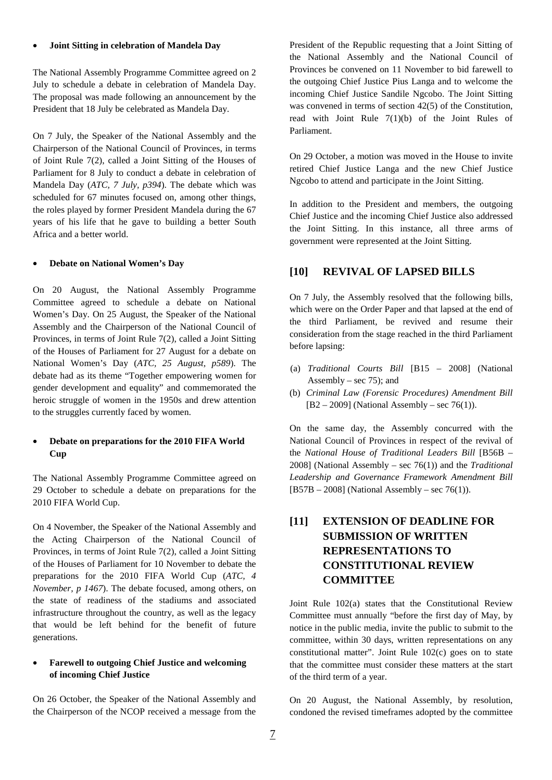#### • **Joint Sitting in celebration of Mandela Day**

The National Assembly Programme Committee agreed on 2 July to schedule a debate in celebration of Mandela Day. The proposal was made following an announcement by the President that 18 July be celebrated as Mandela Day.

On 7 July, the Speaker of the National Assembly and the Chairperson of the National Council of Provinces, in terms of Joint Rule 7(2), called a Joint Sitting of the Houses of Parliament for 8 July to conduct a debate in celebration of Mandela Day (*ATC, 7 July, p394*). The debate which was scheduled for 67 minutes focused on, among other things, the roles played by former President Mandela during the 67 years of his life that he gave to building a better South Africa and a better world.

#### • **Debate on National Women's Day**

On 20 August, the National Assembly Programme Committee agreed to schedule a debate on National Women's Day. On 25 August, the Speaker of the National Assembly and the Chairperson of the National Council of Provinces, in terms of Joint Rule 7(2), called a Joint Sitting of the Houses of Parliament for 27 August for a debate on National Women's Day (*ATC, 25 August, p589*). The debate had as its theme "Together empowering women for gender development and equality" and commemorated the heroic struggle of women in the 1950s and drew attention to the struggles currently faced by women.

#### • **Debate on preparations for the 2010 FIFA World Cup**

The National Assembly Programme Committee agreed on 29 October to schedule a debate on preparations for the 2010 FIFA World Cup.

On 4 November, the Speaker of the National Assembly and the Acting Chairperson of the National Council of Provinces, in terms of Joint Rule 7(2), called a Joint Sitting of the Houses of Parliament for 10 November to debate the preparations for the 2010 FIFA World Cup (*ATC, 4 November, p 1467*). The debate focused, among others, on the state of readiness of the stadiums and associated infrastructure throughout the country, as well as the legacy that would be left behind for the benefit of future generations.

#### • **Farewell to outgoing Chief Justice and welcoming of incoming Chief Justice**

On 26 October, the Speaker of the National Assembly and the Chairperson of the NCOP received a message from the President of the Republic requesting that a Joint Sitting of the National Assembly and the National Council of Provinces be convened on 11 November to bid farewell to the outgoing Chief Justice Pius Langa and to welcome the incoming Chief Justice Sandile Ngcobo. The Joint Sitting was convened in terms of section 42(5) of the Constitution, read with Joint Rule 7(1)(b) of the Joint Rules of Parliament.

On 29 October, a motion was moved in the House to invite retired Chief Justice Langa and the new Chief Justice Ngcobo to attend and participate in the Joint Sitting.

In addition to the President and members, the outgoing Chief Justice and the incoming Chief Justice also addressed the Joint Sitting. In this instance, all three arms of government were represented at the Joint Sitting.

#### **[10] REVIVAL OF LAPSED BILLS**

On 7 July, the Assembly resolved that the following bills, which were on the Order Paper and that lapsed at the end of the third Parliament, be revived and resume their consideration from the stage reached in the third Parliament before lapsing:

- (a) *Traditional Courts Bill* [B15 2008] (National Assembly – sec  $75$ ); and
- (b) *Criminal Law (Forensic Procedures) Amendment Bill*  $[B2 - 2009]$  (National Assembly – sec 76(1)).

On the same day, the Assembly concurred with the National Council of Provinces in respect of the revival of the *National House of Traditional Leaders Bill* [B56B – 2008] (National Assembly – sec 76(1)) and the *Traditional Leadership and Governance Framework Amendment Bill*  $[B57B - 2008]$  (National Assembly – sec 76(1)).

## **[11] EXTENSION OF DEADLINE FOR SUBMISSION OF WRITTEN REPRESENTATIONS TO CONSTITUTIONAL REVIEW COMMITTEE**

Joint Rule 102(a) states that the Constitutional Review Committee must annually "before the first day of May, by notice in the public media, invite the public to submit to the committee, within 30 days, written representations on any constitutional matter". Joint Rule 102(c) goes on to state that the committee must consider these matters at the start of the third term of a year.

On 20 August, the National Assembly, by resolution, condoned the revised timeframes adopted by the committee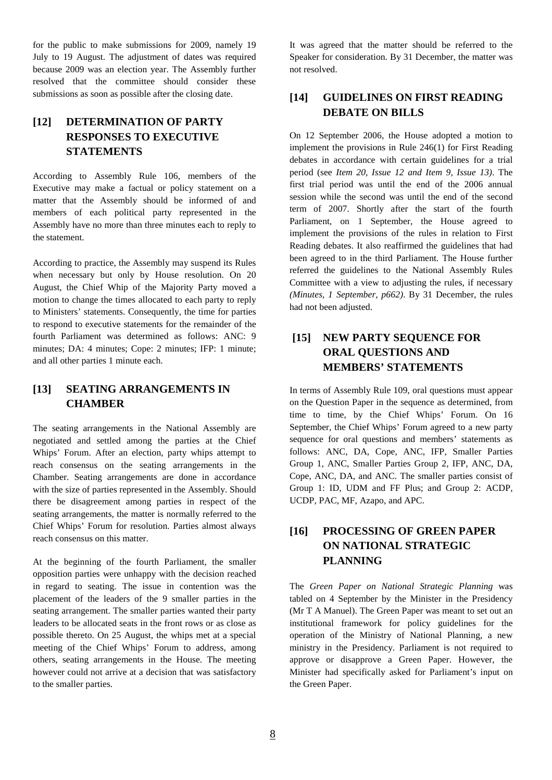for the public to make submissions for 2009, namely 19 July to 19 August. The adjustment of dates was required because 2009 was an election year. The Assembly further resolved that the committee should consider these submissions as soon as possible after the closing date.

## **[12] DETERMINATION OF PARTY RESPONSES TO EXECUTIVE STATEMENTS**

According to Assembly Rule 106, members of the Executive may make a factual or policy statement on a matter that the Assembly should be informed of and members of each political party represented in the Assembly have no more than three minutes each to reply to the statement.

According to practice, the Assembly may suspend its Rules when necessary but only by House resolution. On 20 August, the Chief Whip of the Majority Party moved a motion to change the times allocated to each party to reply to Ministers' statements. Consequently, the time for parties to respond to executive statements for the remainder of the fourth Parliament was determined as follows: ANC: 9 minutes; DA: 4 minutes; Cope: 2 minutes; IFP: 1 minute; and all other parties 1 minute each.

#### **[13] SEATING ARRANGEMENTS IN CHAMBER**

The seating arrangements in the National Assembly are negotiated and settled among the parties at the Chief Whips' Forum. After an election, party whips attempt to reach consensus on the seating arrangements in the Chamber. Seating arrangements are done in accordance with the size of parties represented in the Assembly. Should there be disagreement among parties in respect of the seating arrangements, the matter is normally referred to the Chief Whips' Forum for resolution. Parties almost always reach consensus on this matter.

At the beginning of the fourth Parliament, the smaller opposition parties were unhappy with the decision reached in regard to seating. The issue in contention was the placement of the leaders of the 9 smaller parties in the seating arrangement. The smaller parties wanted their party leaders to be allocated seats in the front rows or as close as possible thereto. On 25 August, the whips met at a special meeting of the Chief Whips' Forum to address, among others, seating arrangements in the House. The meeting however could not arrive at a decision that was satisfactory to the smaller parties.

It was agreed that the matter should be referred to the Speaker for consideration. By 31 December, the matter was not resolved.

### **[14] GUIDELINES ON FIRST READING DEBATE ON BILLS**

On 12 September 2006, the House adopted a motion to implement the provisions in Rule 246(1) for First Reading debates in accordance with certain guidelines for a trial period (see *Item 20, Issue 12 and Item 9, Issue 13)*. The first trial period was until the end of the 2006 annual session while the second was until the end of the second term of 2007. Shortly after the start of the fourth Parliament, on 1 September, the House agreed to implement the provisions of the rules in relation to First Reading debates. It also reaffirmed the guidelines that had been agreed to in the third Parliament. The House further referred the guidelines to the National Assembly Rules Committee with a view to adjusting the rules, if necessary *(Minutes, 1 September, p662)*. By 31 December, the rules had not been adjusted.

## **[15] NEW PARTY SEQUENCE FOR ORAL QUESTIONS AND MEMBERS' STATEMENTS**

In terms of Assembly Rule 109, oral questions must appear on the Question Paper in the sequence as determined, from time to time, by the Chief Whips' Forum. On 16 September, the Chief Whips' Forum agreed to a new party sequence for oral questions and members' statements as follows: ANC, DA, Cope, ANC, IFP, Smaller Parties Group 1, ANC, Smaller Parties Group 2, IFP, ANC, DA, Cope, ANC, DA, and ANC. The smaller parties consist of Group 1: ID, UDM and FF Plus; and Group 2: ACDP, UCDP, PAC, MF, Azapo, and APC.

### **[16] PROCESSING OF GREEN PAPER ON NATIONAL STRATEGIC PLANNING**

The *Green Paper on National Strategic Planning* was tabled on 4 September by the Minister in the Presidency (Mr T A Manuel). The Green Paper was meant to set out an institutional framework for policy guidelines for the operation of the Ministry of National Planning, a new ministry in the Presidency. Parliament is not required to approve or disapprove a Green Paper. However, the Minister had specifically asked for Parliament's input on the Green Paper.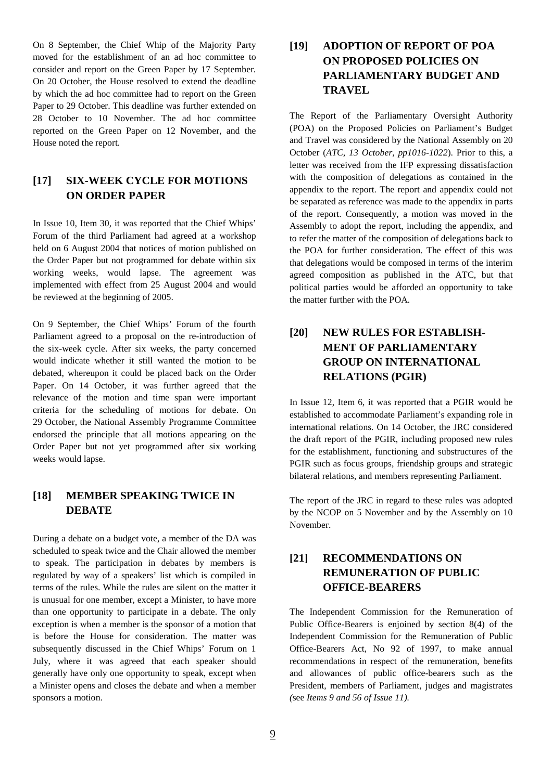On 8 September, the Chief Whip of the Majority Party moved for the establishment of an ad hoc committee to consider and report on the Green Paper by 17 September*.*  On 20 October, the House resolved to extend the deadline by which the ad hoc committee had to report on the Green Paper to 29 October. This deadline was further extended on 28 October to 10 November. The ad hoc committee reported on the Green Paper on 12 November, and the House noted the report.

### **[17] SIX-WEEK CYCLE FOR MOTIONS ON ORDER PAPER**

In Issue 10, Item 30, it was reported that the Chief Whips' Forum of the third Parliament had agreed at a workshop held on 6 August 2004 that notices of motion published on the Order Paper but not programmed for debate within six working weeks, would lapse. The agreement was implemented with effect from 25 August 2004 and would be reviewed at the beginning of 2005.

On 9 September, the Chief Whips' Forum of the fourth Parliament agreed to a proposal on the re-introduction of the six-week cycle. After six weeks, the party concerned would indicate whether it still wanted the motion to be debated, whereupon it could be placed back on the Order Paper. On 14 October, it was further agreed that the relevance of the motion and time span were important criteria for the scheduling of motions for debate. On 29 October, the National Assembly Programme Committee endorsed the principle that all motions appearing on the Order Paper but not yet programmed after six working weeks would lapse.

### **[18] MEMBER SPEAKING TWICE IN DEBATE**

During a debate on a budget vote, a member of the DA was scheduled to speak twice and the Chair allowed the member to speak. The participation in debates by members is regulated by way of a speakers' list which is compiled in terms of the rules. While the rules are silent on the matter it is unusual for one member, except a Minister, to have more than one opportunity to participate in a debate. The only exception is when a member is the sponsor of a motion that is before the House for consideration. The matter was subsequently discussed in the Chief Whips' Forum on 1 July, where it was agreed that each speaker should generally have only one opportunity to speak, except when a Minister opens and closes the debate and when a member sponsors a motion.

## **[19] ADOPTION OF REPORT OF POA ON PROPOSED POLICIES ON PARLIAMENTARY BUDGET AND TRAVEL**

The Report of the Parliamentary Oversight Authority (POA) on the Proposed Policies on Parliament's Budget and Travel was considered by the National Assembly on 20 October (*ATC, 13 October, pp1016-1022*). Prior to this, a letter was received from the IFP expressing dissatisfaction with the composition of delegations as contained in the appendix to the report. The report and appendix could not be separated as reference was made to the appendix in parts of the report. Consequently, a motion was moved in the Assembly to adopt the report, including the appendix, and to refer the matter of the composition of delegations back to the POA for further consideration. The effect of this was that delegations would be composed in terms of the interim agreed composition as published in the ATC, but that political parties would be afforded an opportunity to take the matter further with the POA.

## **[20] NEW RULES FOR ESTABLISH-MENT OF PARLIAMENTARY GROUP ON INTERNATIONAL RELATIONS (PGIR)**

In Issue 12, Item 6, it was reported that a PGIR would be established to accommodate Parliament's expanding role in international relations. On 14 October, the JRC considered the draft report of the PGIR, including proposed new rules for the establishment, functioning and substructures of the PGIR such as focus groups, friendship groups and strategic bilateral relations, and members representing Parliament.

The report of the JRC in regard to these rules was adopted by the NCOP on 5 November and by the Assembly on 10 November.

### **[21] RECOMMENDATIONS ON REMUNERATION OF PUBLIC OFFICE-BEARERS**

The Independent Commission for the Remuneration of Public Office-Bearers is enjoined by section 8(4) of the Independent Commission for the Remuneration of Public Office-Bearers Act, No 92 of 1997, to make annual recommendations in respect of the remuneration, benefits and allowances of public office-bearers such as the President, members of Parliament, judges and magistrates *(*see *Items 9 and 56 of Issue 11).*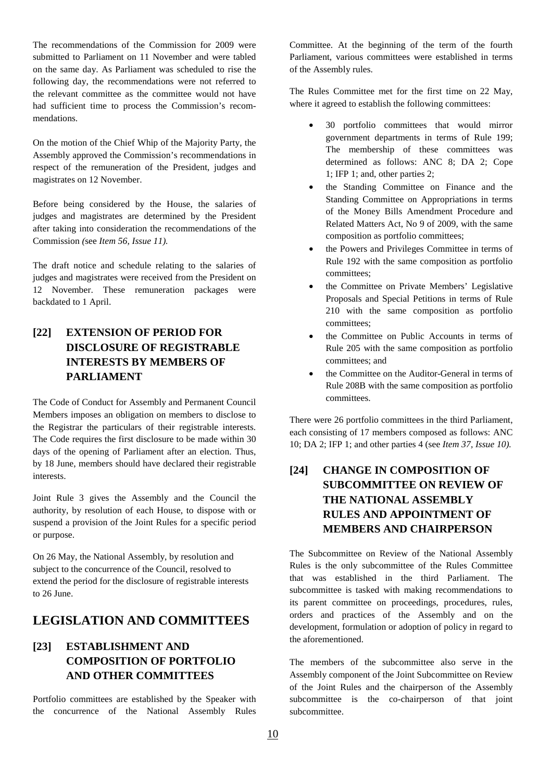The recommendations of the Commission for 2009 were submitted to Parliament on 11 November and were tabled on the same day. As Parliament was scheduled to rise the following day, the recommendations were not referred to the relevant committee as the committee would not have had sufficient time to process the Commission's recommendations.

On the motion of the Chief Whip of the Majority Party, the Assembly approved the Commission's recommendations in respect of the remuneration of the President, judges and magistrates on 12 November.

Before being considered by the House, the salaries of judges and magistrates are determined by the President after taking into consideration the recommendations of the Commission *(*see *Item 56, Issue 11).* 

The draft notice and schedule relating to the salaries of judges and magistrates were received from the President on 12 November. These remuneration packages were backdated to 1 April.

## **[22] EXTENSION OF PERIOD FOR DISCLOSURE OF REGISTRABLE INTERESTS BY MEMBERS OF PARLIAMENT**

The Code of Conduct for Assembly and Permanent Council Members imposes an obligation on members to disclose to the Registrar the particulars of their registrable interests. The Code requires the first disclosure to be made within 30 days of the opening of Parliament after an election. Thus, by 18 June, members should have declared their registrable interests.

Joint Rule 3 gives the Assembly and the Council the authority, by resolution of each House, to dispose with or suspend a provision of the Joint Rules for a specific period or purpose.

On 26 May, the National Assembly, by resolution and subject to the concurrence of the Council, resolved to extend the period for the disclosure of registrable interests to 26 June.

## **LEGISLATION AND COMMITTEES**

## **[23] ESTABLISHMENT AND COMPOSITION OF PORTFOLIO AND OTHER COMMITTEES**

Portfolio committees are established by the Speaker with the concurrence of the National Assembly Rules Committee. At the beginning of the term of the fourth Parliament, various committees were established in terms of the Assembly rules.

The Rules Committee met for the first time on 22 May, where it agreed to establish the following committees:

- 30 portfolio committees that would mirror government departments in terms of Rule 199; The membership of these committees was determined as follows: ANC 8; DA 2; Cope 1; IFP 1; and, other parties 2;
- the Standing Committee on Finance and the Standing Committee on Appropriations in terms of the Money Bills Amendment Procedure and Related Matters Act, No 9 of 2009, with the same composition as portfolio committees;
- the Powers and Privileges Committee in terms of Rule 192 with the same composition as portfolio committees;
- the Committee on Private Members' Legislative Proposals and Special Petitions in terms of Rule 210 with the same composition as portfolio committees;
- the Committee on Public Accounts in terms of Rule 205 with the same composition as portfolio committees; and
- the Committee on the Auditor-General in terms of Rule 208B with the same composition as portfolio committees.

There were 26 portfolio committees in the third Parliament, each consisting of 17 members composed as follows: ANC 10; DA 2; IFP 1; and other parties 4 (see *Item 37, Issue 10).* 

## **[24] CHANGE IN COMPOSITION OF SUBCOMMITTEE ON REVIEW OF THE NATIONAL ASSEMBLY RULES AND APPOINTMENT OF MEMBERS AND CHAIRPERSON**

The Subcommittee on Review of the National Assembly Rules is the only subcommittee of the Rules Committee that was established in the third Parliament. The subcommittee is tasked with making recommendations to its parent committee on proceedings, procedures, rules, orders and practices of the Assembly and on the development, formulation or adoption of policy in regard to the aforementioned.

The members of the subcommittee also serve in the Assembly component of the Joint Subcommittee on Review of the Joint Rules and the chairperson of the Assembly subcommittee is the co-chairperson of that joint subcommittee.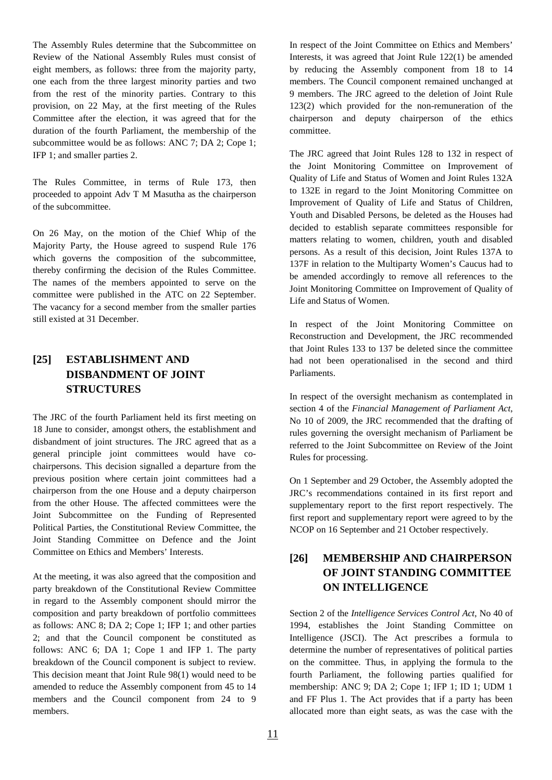The Assembly Rules determine that the Subcommittee on Review of the National Assembly Rules must consist of eight members, as follows: three from the majority party, one each from the three largest minority parties and two from the rest of the minority parties. Contrary to this provision, on 22 May, at the first meeting of the Rules Committee after the election, it was agreed that for the duration of the fourth Parliament, the membership of the subcommittee would be as follows: ANC 7; DA 2; Cope 1; IFP 1; and smaller parties 2.

The Rules Committee, in terms of Rule 173, then proceeded to appoint Adv T M Masutha as the chairperson of the subcommittee.

On 26 May, on the motion of the Chief Whip of the Majority Party, the House agreed to suspend Rule 176 which governs the composition of the subcommittee, thereby confirming the decision of the Rules Committee. The names of the members appointed to serve on the committee were published in the ATC on 22 September. The vacancy for a second member from the smaller parties still existed at 31 December.

## **[25] ESTABLISHMENT AND DISBANDMENT OF JOINT STRUCTURES**

The JRC of the fourth Parliament held its first meeting on 18 June to consider, amongst others, the establishment and disbandment of joint structures. The JRC agreed that as a general principle joint committees would have cochairpersons. This decision signalled a departure from the previous position where certain joint committees had a chairperson from the one House and a deputy chairperson from the other House. The affected committees were the Joint Subcommittee on the Funding of Represented Political Parties, the Constitutional Review Committee, the Joint Standing Committee on Defence and the Joint Committee on Ethics and Members' Interests.

At the meeting, it was also agreed that the composition and party breakdown of the Constitutional Review Committee in regard to the Assembly component should mirror the composition and party breakdown of portfolio committees as follows: ANC 8; DA 2; Cope 1; IFP 1; and other parties 2; and that the Council component be constituted as follows: ANC 6; DA 1; Cope 1 and IFP 1. The party breakdown of the Council component is subject to review. This decision meant that Joint Rule 98(1) would need to be amended to reduce the Assembly component from 45 to 14 members and the Council component from 24 to 9 members.

In respect of the Joint Committee on Ethics and Members' Interests, it was agreed that Joint Rule 122(1) be amended by reducing the Assembly component from 18 to 14 members. The Council component remained unchanged at 9 members. The JRC agreed to the deletion of Joint Rule 123(2) which provided for the non-remuneration of the chairperson and deputy chairperson of the ethics committee.

The JRC agreed that Joint Rules 128 to 132 in respect of the Joint Monitoring Committee on Improvement of Quality of Life and Status of Women and Joint Rules 132A to 132E in regard to the Joint Monitoring Committee on Improvement of Quality of Life and Status of Children, Youth and Disabled Persons, be deleted as the Houses had decided to establish separate committees responsible for matters relating to women, children, youth and disabled persons. As a result of this decision, Joint Rules 137A to 137F in relation to the Multiparty Women's Caucus had to be amended accordingly to remove all references to the Joint Monitoring Committee on Improvement of Quality of Life and Status of Women.

In respect of the Joint Monitoring Committee on Reconstruction and Development, the JRC recommended that Joint Rules 133 to 137 be deleted since the committee had not been operationalised in the second and third Parliaments.

In respect of the oversight mechanism as contemplated in section 4 of the *Financial Management of Parliament Act*, No 10 of 2009, the JRC recommended that the drafting of rules governing the oversight mechanism of Parliament be referred to the Joint Subcommittee on Review of the Joint Rules for processing.

On 1 September and 29 October, the Assembly adopted the JRC's recommendations contained in its first report and supplementary report to the first report respectively. The first report and supplementary report were agreed to by the NCOP on 16 September and 21 October respectively.

## **[26] MEMBERSHIP AND CHAIRPERSON OF JOINT STANDING COMMITTEE ON INTELLIGENCE**

Section 2 of the *Intelligence Services Control Act*, No 40 of 1994, establishes the Joint Standing Committee on Intelligence (JSCI). The Act prescribes a formula to determine the number of representatives of political parties on the committee. Thus, in applying the formula to the fourth Parliament, the following parties qualified for membership: ANC 9; DA 2; Cope 1; IFP 1; ID 1; UDM 1 and FF Plus 1. The Act provides that if a party has been allocated more than eight seats, as was the case with the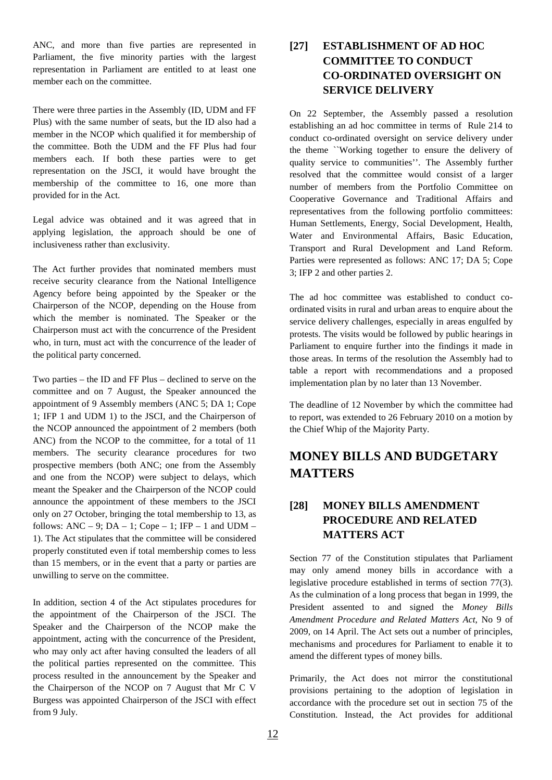ANC, and more than five parties are represented in Parliament, the five minority parties with the largest representation in Parliament are entitled to at least one member each on the committee.

There were three parties in the Assembly (ID, UDM and FF Plus) with the same number of seats, but the ID also had a member in the NCOP which qualified it for membership of the committee. Both the UDM and the FF Plus had four members each. If both these parties were to get representation on the JSCI, it would have brought the membership of the committee to 16, one more than provided for in the Act.

Legal advice was obtained and it was agreed that in applying legislation, the approach should be one of inclusiveness rather than exclusivity.

The Act further provides that nominated members must receive security clearance from the National Intelligence Agency before being appointed by the Speaker or the Chairperson of the NCOP, depending on the House from which the member is nominated. The Speaker or the Chairperson must act with the concurrence of the President who, in turn, must act with the concurrence of the leader of the political party concerned.

Two parties – the ID and FF Plus – declined to serve on the committee and on 7 August, the Speaker announced the appointment of 9 Assembly members (ANC 5; DA 1; Cope 1; IFP 1 and UDM 1) to the JSCI, and the Chairperson of the NCOP announced the appointment of 2 members (both ANC) from the NCOP to the committee, for a total of 11 members. The security clearance procedures for two prospective members (both ANC; one from the Assembly and one from the NCOP) were subject to delays, which meant the Speaker and the Chairperson of the NCOP could announce the appointment of these members to the JSCI only on 27 October, bringing the total membership to 13, as follows: ANC – 9;  $DA - 1$ ; Cope – 1; IFP – 1 and UDM – 1). The Act stipulates that the committee will be considered properly constituted even if total membership comes to less than 15 members, or in the event that a party or parties are unwilling to serve on the committee.

In addition, section 4 of the Act stipulates procedures for the appointment of the Chairperson of the JSCI. The Speaker and the Chairperson of the NCOP make the appointment, acting with the concurrence of the President, who may only act after having consulted the leaders of all the political parties represented on the committee. This process resulted in the announcement by the Speaker and the Chairperson of the NCOP on 7 August that Mr C V Burgess was appointed Chairperson of the JSCI with effect from 9 July.

## **[27] ESTABLISHMENT OF AD HOC COMMITTEE TO CONDUCT CO-ORDINATED OVERSIGHT ON SERVICE DELIVERY**

On 22 September, the Assembly passed a resolution establishing an ad hoc committee in terms of Rule 214 to conduct co-ordinated oversight on service delivery under the theme ``Working together to ensure the delivery of quality service to communities''. The Assembly further resolved that the committee would consist of a larger number of members from the Portfolio Committee on Cooperative Governance and Traditional Affairs and representatives from the following portfolio committees: Human Settlements, Energy, Social Development, Health, Water and Environmental Affairs, Basic Education, Transport and Rural Development and Land Reform. Parties were represented as follows: ANC 17; DA 5; Cope 3; IFP 2 and other parties 2.

The ad hoc committee was established to conduct coordinated visits in rural and urban areas to enquire about the service delivery challenges, especially in areas engulfed by protests. The visits would be followed by public hearings in Parliament to enquire further into the findings it made in those areas. In terms of the resolution the Assembly had to table a report with recommendations and a proposed implementation plan by no later than 13 November.

The deadline of 12 November by which the committee had to report, was extended to 26 February 2010 on a motion by the Chief Whip of the Majority Party.

# **MONEY BILLS AND BUDGETARY MATTERS**

## **[28] MONEY BILLS AMENDMENT PROCEDURE AND RELATED MATTERS ACT**

Section 77 of the Constitution stipulates that Parliament may only amend money bills in accordance with a legislative procedure established in terms of section 77(3). As the culmination of a long process that began in 1999, the President assented to and signed the *Money Bills Amendment Procedure and Related Matters Act*, No 9 of 2009, on 14 April. The Act sets out a number of principles, mechanisms and procedures for Parliament to enable it to amend the different types of money bills.

Primarily, the Act does not mirror the constitutional provisions pertaining to the adoption of legislation in accordance with the procedure set out in section 75 of the Constitution. Instead, the Act provides for additional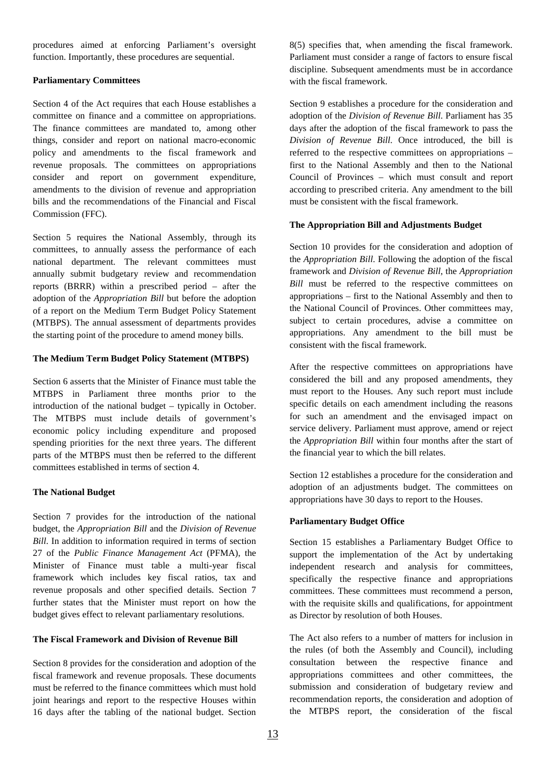procedures aimed at enforcing Parliament's oversight function. Importantly, these procedures are sequential.

#### **Parliamentary Committees**

Section 4 of the Act requires that each House establishes a committee on finance and a committee on appropriations. The finance committees are mandated to, among other things, consider and report on national macro-economic policy and amendments to the fiscal framework and revenue proposals. The committees on appropriations consider and report on government expenditure, amendments to the division of revenue and appropriation bills and the recommendations of the Financial and Fiscal Commission (FFC).

Section 5 requires the National Assembly, through its committees, to annually assess the performance of each national department. The relevant committees must annually submit budgetary review and recommendation reports (BRRR) within a prescribed period – after the adoption of the *Appropriation Bill* but before the adoption of a report on the Medium Term Budget Policy Statement (MTBPS). The annual assessment of departments provides the starting point of the procedure to amend money bills.

#### **The Medium Term Budget Policy Statement (MTBPS)**

Section 6 asserts that the Minister of Finance must table the MTBPS in Parliament three months prior to the introduction of the national budget – typically in October. The MTBPS must include details of government's economic policy including expenditure and proposed spending priorities for the next three years. The different parts of the MTBPS must then be referred to the different committees established in terms of section 4.

#### **The National Budget**

Section 7 provides for the introduction of the national budget, the *Appropriation Bill* and the *Division of Revenue Bill*. In addition to information required in terms of section 27 of the *Public Finance Management Act* (PFMA), the Minister of Finance must table a multi-year fiscal framework which includes key fiscal ratios, tax and revenue proposals and other specified details. Section 7 further states that the Minister must report on how the budget gives effect to relevant parliamentary resolutions.

#### **The Fiscal Framework and Division of Revenue Bill**

Section 8 provides for the consideration and adoption of the fiscal framework and revenue proposals. These documents must be referred to the finance committees which must hold joint hearings and report to the respective Houses within 16 days after the tabling of the national budget. Section

8(5) specifies that, when amending the fiscal framework. Parliament must consider a range of factors to ensure fiscal discipline. Subsequent amendments must be in accordance with the fiscal framework.

Section 9 establishes a procedure for the consideration and adoption of the *Division of Revenue Bill*. Parliament has 35 days after the adoption of the fiscal framework to pass the *Division of Revenue Bill*. Once introduced, the bill is referred to the respective committees on appropriations – first to the National Assembly and then to the National Council of Provinces – which must consult and report according to prescribed criteria. Any amendment to the bill must be consistent with the fiscal framework.

#### **The Appropriation Bill and Adjustments Budget**

Section 10 provides for the consideration and adoption of the *Appropriation Bill*. Following the adoption of the fiscal framework and *Division of Revenue Bill*, the *Appropriation Bill* must be referred to the respective committees on appropriations – first to the National Assembly and then to the National Council of Provinces. Other committees may, subject to certain procedures, advise a committee on appropriations. Any amendment to the bill must be consistent with the fiscal framework.

After the respective committees on appropriations have considered the bill and any proposed amendments, they must report to the Houses. Any such report must include specific details on each amendment including the reasons for such an amendment and the envisaged impact on service delivery. Parliament must approve, amend or reject the *Appropriation Bill* within four months after the start of the financial year to which the bill relates.

Section 12 establishes a procedure for the consideration and adoption of an adjustments budget. The committees on appropriations have 30 days to report to the Houses.

#### **Parliamentary Budget Office**

Section 15 establishes a Parliamentary Budget Office to support the implementation of the Act by undertaking independent research and analysis for committees, specifically the respective finance and appropriations committees. These committees must recommend a person, with the requisite skills and qualifications, for appointment as Director by resolution of both Houses.

The Act also refers to a number of matters for inclusion in the rules (of both the Assembly and Council), including consultation between the respective finance and appropriations committees and other committees, the submission and consideration of budgetary review and recommendation reports, the consideration and adoption of the MTBPS report, the consideration of the fiscal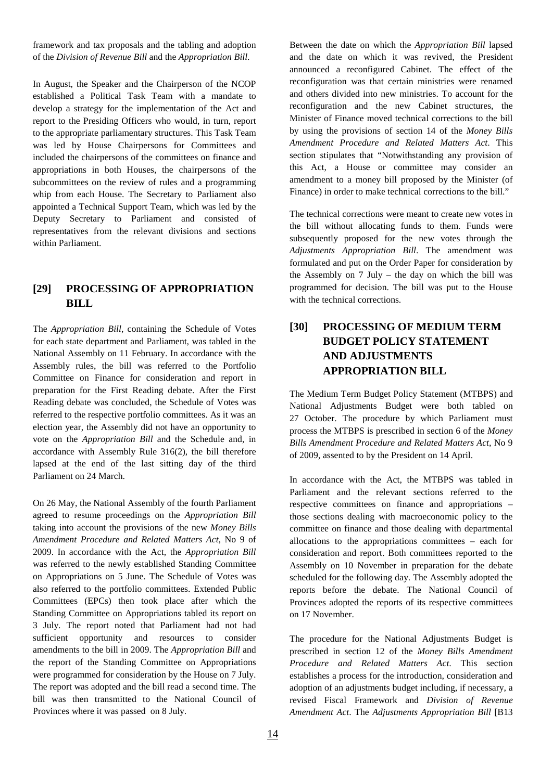framework and tax proposals and the tabling and adoption of the *Division of Revenue Bill* and the *Appropriation Bill*.

In August, the Speaker and the Chairperson of the NCOP established a Political Task Team with a mandate to develop a strategy for the implementation of the Act and report to the Presiding Officers who would, in turn, report to the appropriate parliamentary structures. This Task Team was led by House Chairpersons for Committees and included the chairpersons of the committees on finance and appropriations in both Houses, the chairpersons of the subcommittees on the review of rules and a programming whip from each House. The Secretary to Parliament also appointed a Technical Support Team, which was led by the Deputy Secretary to Parliament and consisted of representatives from the relevant divisions and sections within Parliament.

#### **[29] PROCESSING OF APPROPRIATION BILL**

The *Appropriation Bill*, containing the Schedule of Votes for each state department and Parliament, was tabled in the National Assembly on 11 February. In accordance with the Assembly rules, the bill was referred to the Portfolio Committee on Finance for consideration and report in preparation for the First Reading debate. After the First Reading debate was concluded, the Schedule of Votes was referred to the respective portfolio committees. As it was an election year, the Assembly did not have an opportunity to vote on the *Appropriation Bill* and the Schedule and, in accordance with Assembly Rule 316(2), the bill therefore lapsed at the end of the last sitting day of the third Parliament on 24 March.

On 26 May, the National Assembly of the fourth Parliament agreed to resume proceedings on the *Appropriation Bill* taking into account the provisions of the new *Money Bills Amendment Procedure and Related Matters Act*, No 9 of 2009. In accordance with the Act, the *Appropriation Bill* was referred to the newly established Standing Committee on Appropriations on 5 June. The Schedule of Votes was also referred to the portfolio committees. Extended Public Committees (EPCs) then took place after which the Standing Committee on Appropriations tabled its report on 3 July. The report noted that Parliament had not had sufficient opportunity and resources to consider amendments to the bill in 2009. The *Appropriation Bill* and the report of the Standing Committee on Appropriations were programmed for consideration by the House on 7 July. The report was adopted and the bill read a second time. The bill was then transmitted to the National Council of Provinces where it was passed on 8 July.

Between the date on which the *Appropriation Bill* lapsed and the date on which it was revived, the President announced a reconfigured Cabinet. The effect of the reconfiguration was that certain ministries were renamed and others divided into new ministries. To account for the reconfiguration and the new Cabinet structures, the Minister of Finance moved technical corrections to the bill by using the provisions of section 14 of the *Money Bills Amendment Procedure and Related Matters Act*. This section stipulates that "Notwithstanding any provision of this Act, a House or committee may consider an amendment to a money bill proposed by the Minister (of Finance) in order to make technical corrections to the bill."

The technical corrections were meant to create new votes in the bill without allocating funds to them. Funds were subsequently proposed for the new votes through the *Adjustments Appropriation Bill*. The amendment was formulated and put on the Order Paper for consideration by the Assembly on 7 July – the day on which the bill was programmed for decision. The bill was put to the House with the technical corrections.

### **[30] PROCESSING OF MEDIUM TERM BUDGET POLICY STATEMENT AND ADJUSTMENTS APPROPRIATION BILL**

The Medium Term Budget Policy Statement (MTBPS) and National Adjustments Budget were both tabled on 27 October. The procedure by which Parliament must process the MTBPS is prescribed in section 6 of the *Money Bills Amendment Procedure and Related Matters Act*, No 9 of 2009, assented to by the President on 14 April.

In accordance with the Act, the MTBPS was tabled in Parliament and the relevant sections referred to the respective committees on finance and appropriations – those sections dealing with macroeconomic policy to the committee on finance and those dealing with departmental allocations to the appropriations committees – each for consideration and report. Both committees reported to the Assembly on 10 November in preparation for the debate scheduled for the following day. The Assembly adopted the reports before the debate. The National Council of Provinces adopted the reports of its respective committees on 17 November.

The procedure for the National Adjustments Budget is prescribed in section 12 of the *Money Bills Amendment Procedure and Related Matters Act*. This section establishes a process for the introduction, consideration and adoption of an adjustments budget including, if necessary, a revised Fiscal Framework and *Division of Revenue Amendment Act*. The *Adjustments Appropriation Bill* [B13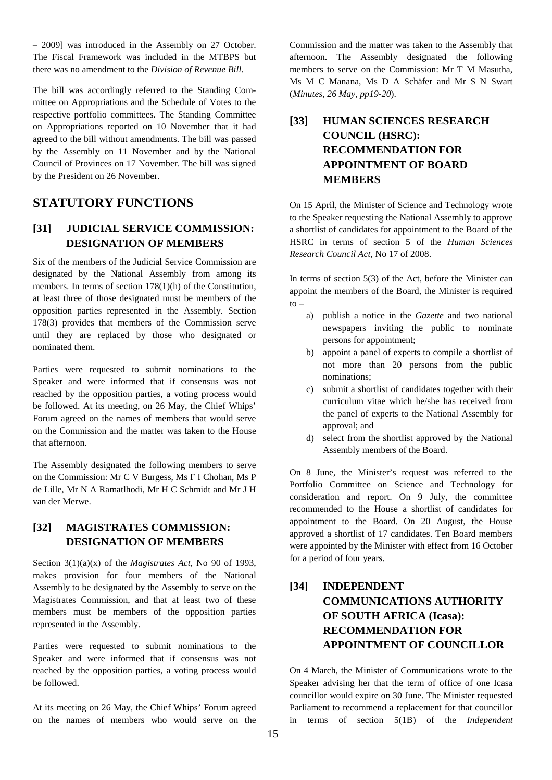– 2009] was introduced in the Assembly on 27 October. The Fiscal Framework was included in the MTBPS but there was no amendment to the *Division of Revenue Bill*.

The bill was accordingly referred to the Standing Committee on Appropriations and the Schedule of Votes to the respective portfolio committees. The Standing Committee on Appropriations reported on 10 November that it had agreed to the bill without amendments. The bill was passed by the Assembly on 11 November and by the National Council of Provinces on 17 November. The bill was signed by the President on 26 November.

## **STATUTORY FUNCTIONS**

### **[31] JUDICIAL SERVICE COMMISSION: DESIGNATION OF MEMBERS**

Six of the members of the Judicial Service Commission are designated by the National Assembly from among its members. In terms of section 178(1)(h) of the Constitution, at least three of those designated must be members of the opposition parties represented in the Assembly. Section 178(3) provides that members of the Commission serve until they are replaced by those who designated or nominated them.

Parties were requested to submit nominations to the Speaker and were informed that if consensus was not reached by the opposition parties, a voting process would be followed. At its meeting, on 26 May, the Chief Whips' Forum agreed on the names of members that would serve on the Commission and the matter was taken to the House that afternoon.

The Assembly designated the following members to serve on the Commission: Mr C V Burgess, Ms F I Chohan, Ms P de Lille, Mr N A Ramatlhodi, Mr H C Schmidt and Mr J H van der Merwe.

#### **[32] MAGISTRATES COMMISSION: DESIGNATION OF MEMBERS**

Section 3(1)(a)(x) of the *Magistrates Act*, No 90 of 1993, makes provision for four members of the National Assembly to be designated by the Assembly to serve on the Magistrates Commission, and that at least two of these members must be members of the opposition parties represented in the Assembly.

Parties were requested to submit nominations to the Speaker and were informed that if consensus was not reached by the opposition parties, a voting process would be followed.

At its meeting on 26 May, the Chief Whips' Forum agreed on the names of members who would serve on the

Commission and the matter was taken to the Assembly that afternoon. The Assembly designated the following members to serve on the Commission: Mr T M Masutha, Ms M C Manana, Ms D A Schäfer and Mr S N Swart (*Minutes, 26 May, pp19-20*).

## **[33] HUMAN SCIENCES RESEARCH COUNCIL (HSRC): RECOMMENDATION FOR APPOINTMENT OF BOARD MEMBERS**

On 15 April, the Minister of Science and Technology wrote to the Speaker requesting the National Assembly to approve a shortlist of candidates for appointment to the Board of the HSRC in terms of section 5 of the *Human Sciences Research Council Act*, No 17 of 2008.

In terms of section 5(3) of the Act, before the Minister can appoint the members of the Board, the Minister is required  $to -$ 

- a) publish a notice in the *Gazette* and two national newspapers inviting the public to nominate persons for appointment;
- b) appoint a panel of experts to compile a shortlist of not more than 20 persons from the public nominations;
- c) submit a shortlist of candidates together with their curriculum vitae which he/she has received from the panel of experts to the National Assembly for approval; and
- d) select from the shortlist approved by the National Assembly members of the Board.

On 8 June, the Minister's request was referred to the Portfolio Committee on Science and Technology for consideration and report. On 9 July, the committee recommended to the House a shortlist of candidates for appointment to the Board. On 20 August, the House approved a shortlist of 17 candidates. Ten Board members were appointed by the Minister with effect from 16 October for a period of four years.

## **[34] INDEPENDENT COMMUNICATIONS AUTHORITY OF SOUTH AFRICA (Icasa): RECOMMENDATION FOR APPOINTMENT OF COUNCILLOR**

On 4 March, the Minister of Communications wrote to the Speaker advising her that the term of office of one Icasa councillor would expire on 30 June. The Minister requested Parliament to recommend a replacement for that councillor in terms of section 5(1B) of the *Independent*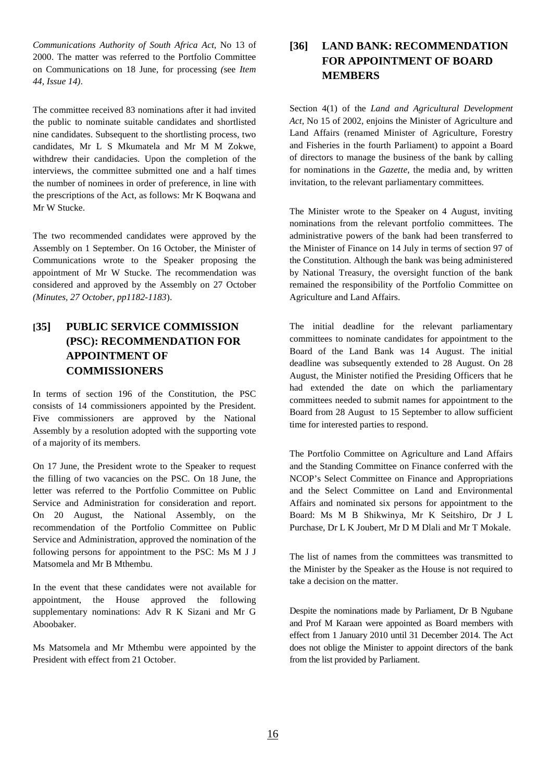*Communications Authority of South Africa Act*, No 13 of 2000. The matter was referred to the Portfolio Committee on Communications on 18 June, for processing *(*see *Item 44, Issue 14)*.

The committee received 83 nominations after it had invited the public to nominate suitable candidates and shortlisted nine candidates. Subsequent to the shortlisting process, two candidates, Mr L S Mkumatela and Mr M M Zokwe, withdrew their candidacies. Upon the completion of the interviews, the committee submitted one and a half times the number of nominees in order of preference, in line with the prescriptions of the Act, as follows: Mr K Boqwana and Mr W Stucke.

The two recommended candidates were approved by the Assembly on 1 September. On 16 October, the Minister of Communications wrote to the Speaker proposing the appointment of Mr W Stucke. The recommendation was considered and approved by the Assembly on 27 October *(Minutes, 27 October, pp1182-1183*).

### **[35] PUBLIC SERVICE COMMISSION (PSC): RECOMMENDATION FOR APPOINTMENT OF COMMISSIONERS**

In terms of section 196 of the Constitution, the PSC consists of 14 commissioners appointed by the President. Five commissioners are approved by the National Assembly by a resolution adopted with the supporting vote of a majority of its members.

On 17 June, the President wrote to the Speaker to request the filling of two vacancies on the PSC. On 18 June, the letter was referred to the Portfolio Committee on Public Service and Administration for consideration and report. On 20 August, the National Assembly, on the recommendation of the Portfolio Committee on Public Service and Administration, approved the nomination of the following persons for appointment to the PSC: Ms M J J Matsomela and Mr B Mthembu.

In the event that these candidates were not available for appointment, the House approved the following supplementary nominations: Adv R K Sizani and Mr G Aboobaker.

Ms Matsomela and Mr Mthembu were appointed by the President with effect from 21 October.

### **[36] LAND BANK: RECOMMENDATION FOR APPOINTMENT OF BOARD MEMBERS**

Section 4(1) of the *Land and Agricultural Development Act*, No 15 of 2002, enjoins the Minister of Agriculture and Land Affairs (renamed Minister of Agriculture, Forestry and Fisheries in the fourth Parliament) to appoint a Board of directors to manage the business of the bank by calling for nominations in the *Gazette*, the media and, by written invitation, to the relevant parliamentary committees.

The Minister wrote to the Speaker on 4 August, inviting nominations from the relevant portfolio committees. The administrative powers of the bank had been transferred to the Minister of Finance on 14 July in terms of section 97 of the Constitution. Although the bank was being administered by National Treasury, the oversight function of the bank remained the responsibility of the Portfolio Committee on Agriculture and Land Affairs.

The initial deadline for the relevant parliamentary committees to nominate candidates for appointment to the Board of the Land Bank was 14 August. The initial deadline was subsequently extended to 28 August. On 28 August, the Minister notified the Presiding Officers that he had extended the date on which the parliamentary committees needed to submit names for appointment to the Board from 28 August to 15 September to allow sufficient time for interested parties to respond.

The Portfolio Committee on Agriculture and Land Affairs and the Standing Committee on Finance conferred with the NCOP's Select Committee on Finance and Appropriations and the Select Committee on Land and Environmental Affairs and nominated six persons for appointment to the Board: Ms M B Shikwinya, Mr K Seitshiro, Dr J L Purchase, Dr L K Joubert, Mr D M Dlali and Mr T Mokale.

The list of names from the committees was transmitted to the Minister by the Speaker as the House is not required to take a decision on the matter.

Despite the nominations made by Parliament, Dr B Ngubane and Prof M Karaan were appointed as Board members with effect from 1 January 2010 until 31 December 2014. The Act does not oblige the Minister to appoint directors of the bank from the list provided by Parliament.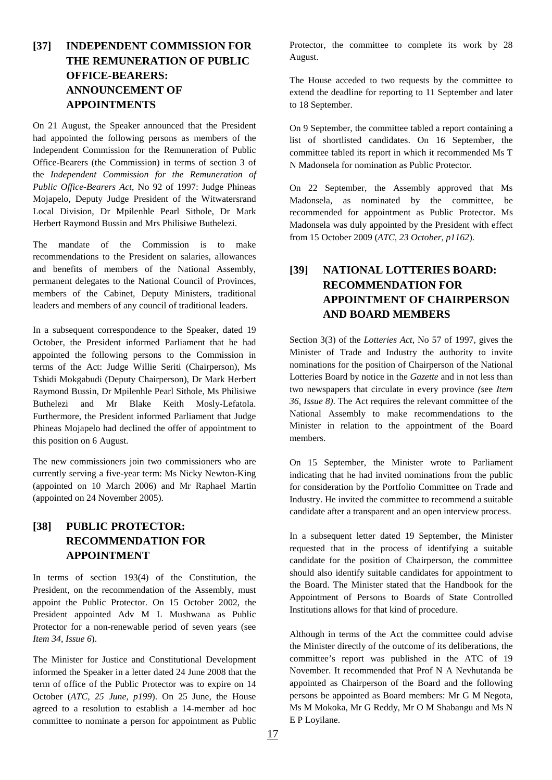## **[37] INDEPENDENT COMMISSION FOR THE REMUNERATION OF PUBLIC OFFICE-BEARERS: ANNOUNCEMENT OF APPOINTMENTS**

On 21 August, the Speaker announced that the President had appointed the following persons as members of the Independent Commission for the Remuneration of Public Office-Bearers (the Commission) in terms of section 3 of the *Independent Commission for the Remuneration of Public Office-Bearers Act*, No 92 of 1997: Judge Phineas Mojapelo, Deputy Judge President of the Witwatersrand Local Division, Dr Mpilenhle Pearl Sithole, Dr Mark Herbert Raymond Bussin and Mrs Philisiwe Buthelezi.

The mandate of the Commission is to make recommendations to the President on salaries, allowances and benefits of members of the National Assembly, permanent delegates to the National Council of Provinces, members of the Cabinet, Deputy Ministers, traditional leaders and members of any council of traditional leaders.

In a subsequent correspondence to the Speaker, dated 19 October, the President informed Parliament that he had appointed the following persons to the Commission in terms of the Act: Judge Willie Seriti (Chairperson), Ms Tshidi Mokgabudi (Deputy Chairperson), Dr Mark Herbert Raymond Bussin, Dr Mpilenhle Pearl Sithole, Ms Philisiwe Buthelezi and Mr Blake Keith Mosly-Lefatola. Furthermore, the President informed Parliament that Judge Phineas Mojapelo had declined the offer of appointment to this position on 6 August.

The new commissioners join two commissioners who are currently serving a five-year term: Ms Nicky Newton-King (appointed on 10 March 2006) and Mr Raphael Martin (appointed on 24 November 2005).

### **[38] PUBLIC PROTECTOR: RECOMMENDATION FOR APPOINTMENT**

In terms of section 193(4) of the Constitution, the President, on the recommendation of the Assembly, must appoint the Public Protector. On 15 October 2002, the President appointed Adv M L Mushwana as Public Protector for a non-renewable period of seven years (see *Item 34, Issue 6*).

The Minister for Justice and Constitutional Development informed the Speaker in a letter dated 24 June 2008 that the term of office of the Public Protector was to expire on 14 October (*ATC, 25 June, p199*). On 25 June, the House agreed to a resolution to establish a 14-member ad hoc committee to nominate a person for appointment as Public

Protector, the committee to complete its work by 28 August.

The House acceded to two requests by the committee to extend the deadline for reporting to 11 September and later to 18 September.

On 9 September, the committee tabled a report containing a list of shortlisted candidates. On 16 September, the committee tabled its report in which it recommended Ms T N Madonsela for nomination as Public Protector.

On 22 September, the Assembly approved that Ms Madonsela, as nominated by the committee, be recommended for appointment as Public Protector. Ms Madonsela was duly appointed by the President with effect from 15 October 2009 (*ATC, 23 October, p1162*).

## **[39] NATIONAL LOTTERIES BOARD: RECOMMENDATION FOR APPOINTMENT OF CHAIRPERSON AND BOARD MEMBERS**

Section 3(3) of the *Lotteries Act*, No 57 of 1997, gives the Minister of Trade and Industry the authority to invite nominations for the position of Chairperson of the National Lotteries Board by notice in the *Gazette* and in not less than two newspapers that circulate in every province *(*see *Item 36, Issue 8)*. The Act requires the relevant committee of the National Assembly to make recommendations to the Minister in relation to the appointment of the Board members.

On 15 September, the Minister wrote to Parliament indicating that he had invited nominations from the public for consideration by the Portfolio Committee on Trade and Industry. He invited the committee to recommend a suitable candidate after a transparent and an open interview process.

In a subsequent letter dated 19 September, the Minister requested that in the process of identifying a suitable candidate for the position of Chairperson, the committee should also identify suitable candidates for appointment to the Board. The Minister stated that the Handbook for the Appointment of Persons to Boards of State Controlled Institutions allows for that kind of procedure.

Although in terms of the Act the committee could advise the Minister directly of the outcome of its deliberations, the committee's report was published in the ATC of 19 November. It recommended that Prof N A Nevhutanda be appointed as Chairperson of the Board and the following persons be appointed as Board members: Mr G M Negota, Ms M Mokoka, Mr G Reddy, Mr O M Shabangu and Ms N E P Loyilane.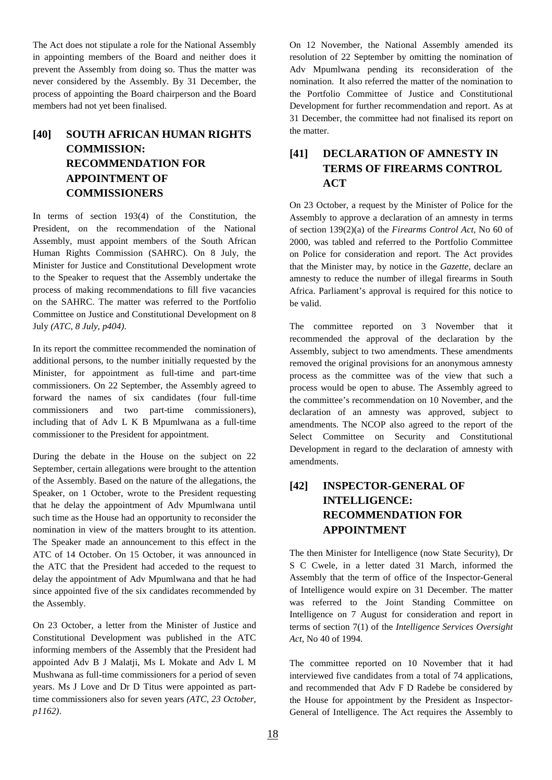The Act does not stipulate a role for the National Assembly in appointing members of the Board and neither does it prevent the Assembly from doing so. Thus the matter was never considered by the Assembly. By 31 December, the process of appointing the Board chairperson and the Board members had not yet been finalised.

## **[40] SOUTH AFRICAN HUMAN RIGHTS COMMISSION: RECOMMENDATION FOR APPOINTMENT OF COMMISSIONERS**

In terms of section 193(4) of the Constitution, the President, on the recommendation of the National Assembly, must appoint members of the South African Human Rights Commission (SAHRC). On 8 July, the Minister for Justice and Constitutional Development wrote to the Speaker to request that the Assembly undertake the process of making recommendations to fill five vacancies on the SAHRC. The matter was referred to the Portfolio Committee on Justice and Constitutional Development on 8 July *(ATC, 8 July, p404)*.

In its report the committee recommended the nomination of additional persons, to the number initially requested by the Minister, for appointment as full-time and part-time commissioners. On 22 September, the Assembly agreed to forward the names of six candidates (four full-time commissioners and two part-time commissioners), including that of Adv L K B Mpumlwana as a full-time commissioner to the President for appointment.

During the debate in the House on the subject on 22 September, certain allegations were brought to the attention of the Assembly. Based on the nature of the allegations, the Speaker, on 1 October, wrote to the President requesting that he delay the appointment of Adv Mpumlwana until such time as the House had an opportunity to reconsider the nomination in view of the matters brought to its attention. The Speaker made an announcement to this effect in the ATC of 14 October. On 15 October, it was announced in the ATC that the President had acceded to the request to delay the appointment of Adv Mpumlwana and that he had since appointed five of the six candidates recommended by the Assembly.

On 23 October, a letter from the Minister of Justice and Constitutional Development was published in the ATC informing members of the Assembly that the President had appointed Adv B J Malatji, Ms L Mokate and Adv L M Mushwana as full-time commissioners for a period of seven years. Ms J Love and Dr D Titus were appointed as parttime commissioners also for seven years *(ATC, 23 October, p1162)*.

On 12 November, the National Assembly amended its resolution of 22 September by omitting the nomination of Adv Mpumlwana pending its reconsideration of the nomination. It also referred the matter of the nomination to the Portfolio Committee of Justice and Constitutional Development for further recommendation and report. As at 31 December, the committee had not finalised its report on the matter.

## **[41] DECLARATION OF AMNESTY IN TERMS OF FIREARMS CONTROL ACT**

On 23 October, a request by the Minister of Police for the Assembly to approve a declaration of an amnesty in terms of section 139(2)(a) of the *Firearms Control Act*, No 60 of 2000, was tabled and referred to the Portfolio Committee on Police for consideration and report. The Act provides that the Minister may, by notice in the *Gazette*, declare an amnesty to reduce the number of illegal firearms in South Africa. Parliament's approval is required for this notice to be valid.

The committee reported on 3 November that it recommended the approval of the declaration by the Assembly, subject to two amendments. These amendments removed the original provisions for an anonymous amnesty process as the committee was of the view that such a process would be open to abuse. The Assembly agreed to the committee's recommendation on 10 November, and the declaration of an amnesty was approved, subject to amendments. The NCOP also agreed to the report of the Select Committee on Security and Constitutional Development in regard to the declaration of amnesty with amendments.

## **[42] INSPECTOR-GENERAL OF INTELLIGENCE: RECOMMENDATION FOR APPOINTMENT**

The then Minister for Intelligence (now State Security), Dr S C Cwele, in a letter dated 31 March, informed the Assembly that the term of office of the Inspector-General of Intelligence would expire on 31 December. The matter was referred to the Joint Standing Committee on Intelligence on 7 August for consideration and report in terms of section 7(1) of the *Intelligence Services Oversight Act*, No 40 of 1994.

The committee reported on 10 November that it had interviewed five candidates from a total of 74 applications, and recommended that Adv F D Radebe be considered by the House for appointment by the President as Inspector-General of Intelligence. The Act requires the Assembly to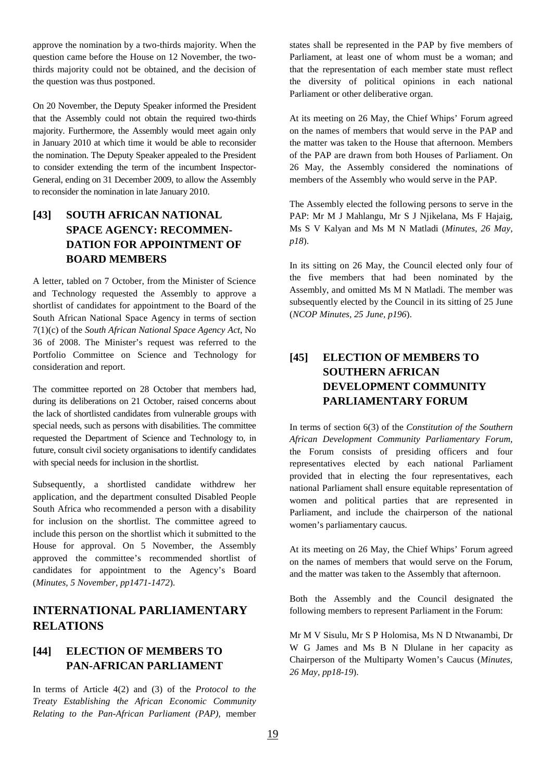approve the nomination by a two-thirds majority. When the question came before the House on 12 November, the twothirds majority could not be obtained, and the decision of the question was thus postponed.

On 20 November, the Deputy Speaker informed the President that the Assembly could not obtain the required two-thirds majority. Furthermore, the Assembly would meet again only in January 2010 at which time it would be able to reconsider the nomination. The Deputy Speaker appealed to the President to consider extending the term of the incumbent Inspector-General, ending on 31 December 2009, to allow the Assembly to reconsider the nomination in late January 2010.

## **[43] SOUTH AFRICAN NATIONAL SPACE AGENCY: RECOMMEN-DATION FOR APPOINTMENT OF BOARD MEMBERS**

A letter, tabled on 7 October, from the Minister of Science and Technology requested the Assembly to approve a shortlist of candidates for appointment to the Board of the South African National Space Agency in terms of section 7(1)(c) of the *South African National Space Agency Act*, No 36 of 2008. The Minister's request was referred to the Portfolio Committee on Science and Technology for consideration and report.

The committee reported on 28 October that members had, during its deliberations on 21 October, raised concerns about the lack of shortlisted candidates from vulnerable groups with special needs, such as persons with disabilities. The committee requested the Department of Science and Technology to, in future, consult civil society organisations to identify candidates with special needs for inclusion in the shortlist.

Subsequently, a shortlisted candidate withdrew her application, and the department consulted Disabled People South Africa who recommended a person with a disability for inclusion on the shortlist. The committee agreed to include this person on the shortlist which it submitted to the House for approval. On 5 November, the Assembly approved the committee's recommended shortlist of candidates for appointment to the Agency's Board (*Minutes, 5 November, pp1471-1472*).

## **INTERNATIONAL PARLIAMENTARY RELATIONS**

#### **[44] ELECTION OF MEMBERS TO PAN-AFRICAN PARLIAMENT**

In terms of Article 4(2) and (3) of the *Protocol to the Treaty Establishing the African Economic Community Relating to the Pan-African Parliament (PAP),* member states shall be represented in the PAP by five members of Parliament, at least one of whom must be a woman; and that the representation of each member state must reflect the diversity of political opinions in each national Parliament or other deliberative organ.

At its meeting on 26 May, the Chief Whips' Forum agreed on the names of members that would serve in the PAP and the matter was taken to the House that afternoon. Members of the PAP are drawn from both Houses of Parliament. On 26 May, the Assembly considered the nominations of members of the Assembly who would serve in the PAP.

The Assembly elected the following persons to serve in the PAP: Mr M J Mahlangu, Mr S J Njikelana, Ms F Hajaig, Ms S V Kalyan and Ms M N Matladi (*Minutes, 26 May, p18*).

In its sitting on 26 May, the Council elected only four of the five members that had been nominated by the Assembly, and omitted Ms M N Matladi. The member was subsequently elected by the Council in its sitting of 25 June (*NCOP Minutes, 25 June, p196*).

## **[45] ELECTION OF MEMBERS TO SOUTHERN AFRICAN DEVELOPMENT COMMUNITY PARLIAMENTARY FORUM**

In terms of section 6(3) of the *Constitution of the Southern African Development Community Parliamentary Forum*, the Forum consists of presiding officers and four representatives elected by each national Parliament provided that in electing the four representatives, each national Parliament shall ensure equitable representation of women and political parties that are represented in Parliament, and include the chairperson of the national women's parliamentary caucus.

At its meeting on 26 May, the Chief Whips' Forum agreed on the names of members that would serve on the Forum, and the matter was taken to the Assembly that afternoon.

Both the Assembly and the Council designated the following members to represent Parliament in the Forum:

Mr M V Sisulu, Mr S P Holomisa, Ms N D Ntwanambi, Dr W G James and Ms B N Dlulane in her capacity as Chairperson of the Multiparty Women's Caucus (*Minutes, 26 May, pp18-19*).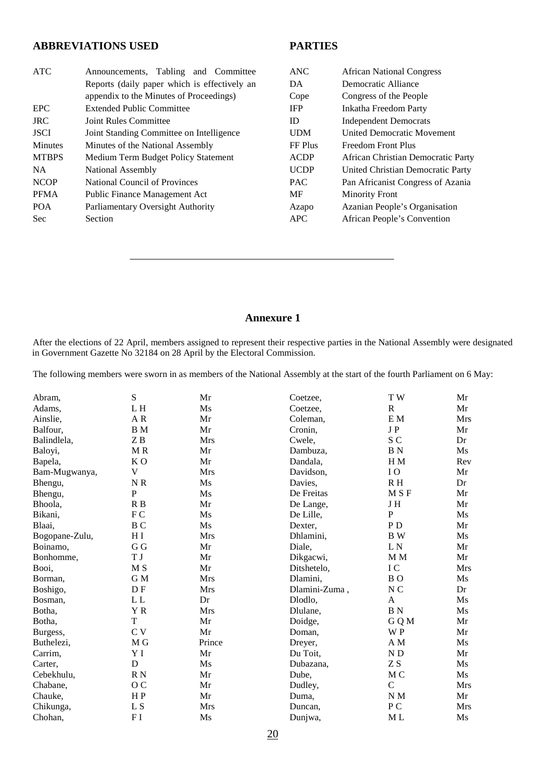#### **ABBREVIATIONS USED**

#### **PARTIES**

| <b>ATC</b>     | Announcements, Tabling and Committee         | <b>ANC</b>  | <b>African National Congress</b>   |
|----------------|----------------------------------------------|-------------|------------------------------------|
|                | Reports (daily paper which is effectively an | DA          | Democratic Alliance                |
|                | appendix to the Minutes of Proceedings)      | Cope        | Congress of the People             |
| <b>EPC</b>     | <b>Extended Public Committee</b>             | <b>IFP</b>  | <b>Inkatha Freedom Party</b>       |
| <b>JRC</b>     | Joint Rules Committee                        | ID          | <b>Independent Democrats</b>       |
| <b>JSCI</b>    | Joint Standing Committee on Intelligence     | <b>UDM</b>  | <b>United Democratic Movement</b>  |
| <b>Minutes</b> | Minutes of the National Assembly             | FF Plus     | Freedom Front Plus                 |
| <b>MTBPS</b>   | Medium Term Budget Policy Statement          | <b>ACDP</b> | African Christian Democratic Party |
| <b>NA</b>      | National Assembly                            | <b>UCDP</b> | United Christian Democratic Party  |
| <b>NCOP</b>    | National Council of Provinces                | <b>PAC</b>  | Pan Africanist Congress of Azania  |
| <b>PFMA</b>    | <b>Public Finance Management Act</b>         | MF          | <b>Minority Front</b>              |
| <b>POA</b>     | Parliamentary Oversight Authority            | Azapo       | Azanian People's Organisation      |
| <b>Sec</b>     | Section                                      | <b>APC</b>  | African People's Convention        |

#### **Annexure 1**

After the elections of 22 April, members assigned to represent their respective parties in the National Assembly were designated in Government Gazette No 32184 on 28 April by the Electoral Commission.

The following members were sworn in as members of the National Assembly at the start of the fourth Parliament on 6 May:

| Abram.         | ${\bf S}$                  | Mr         | Coetzee,      | TW                         | Mr         |
|----------------|----------------------------|------------|---------------|----------------------------|------------|
| Adams,         | L H                        | Ms         | Coetzee,      | $\mathbb{R}$               | Mr         |
| Ainslie,       | $\mathbf{A} \; \mathbf{R}$ | Mr         | Coleman,      | $\mathbf{E} \; \mathbf{M}$ | Mrs        |
| Balfour,       | B M                        | Mr         | Cronin,       | JP                         | Mr         |
| Balindlela,    | ZB                         | Mrs        | Cwele,        | S C                        | Dr         |
| Baloyi,        | MR                         | Mr         | Dambuza,      | <b>BN</b>                  | Ms         |
| Bapela,        | K <sub>O</sub>             | Mr         | Dandala,      | H <sub>M</sub>             | Rev        |
| Bam-Mugwanya,  | V                          | <b>Mrs</b> | Davidson,     | IO                         | Mr         |
| Bhengu,        | NR                         | Ms         | Davies,       | R H                        | Dr         |
| Bhengu,        | P                          | Ms         | De Freitas    | M S F                      | Mr         |
| Bhoola,        | R <sub>B</sub>             | Mr         | De Lange,     | JH                         | Mr         |
| Bikani,        | FC                         | Ms         | De Lille,     | $\overline{P}$             | Ms         |
| Blaai,         | B <sub>C</sub>             | Ms         | Dexter,       | P <sub>D</sub>             | Mr         |
| Bogopane-Zulu, | H I                        | <b>Mrs</b> | Dhlamini,     | B W                        | Ms         |
| Boinamo,       | G G                        | Mr         | Diale,        | L <sub>N</sub>             | Mr         |
| Bonhomme,      | T J                        | Mr         | Dikgacwi,     | M M                        | Mr         |
| Booi,          | M <sub>S</sub>             | Mr         | Ditshetelo,   | IC                         | Mrs        |
| Borman,        | G M                        | <b>Mrs</b> | Dlamini,      | B <sub>O</sub>             | Ms         |
| Boshigo,       | D <sub>F</sub>             | <b>Mrs</b> | Dlamini-Zuma, | N <sub>C</sub>             | Dr         |
| Bosman,        | L <sub>L</sub>             | Dr         | Dlodlo,       | A                          | Ms         |
| Botha,         | YR.                        | <b>Mrs</b> | Dlulane,      | <b>BN</b>                  | Ms         |
| Botha,         | T                          | Mr         | Doidge,       | G Q M                      | Mr         |
| Burgess,       | C <sub>V</sub>             | Mr         | Doman.        | W P                        | Mr         |
| Buthelezi,     | M G                        | Prince     | Dreyer,       | A M                        | Ms         |
| Carrim,        | Y I                        | Mr         | Du Toit,      | N <sub>D</sub>             | Mr         |
| Carter,        | D                          | Ms         | Dubazana,     | ZS                         | Ms         |
| Cebekhulu,     | R N                        | Mr         | Dube,         | M C                        | Ms         |
| Chabane,       | O C                        | Mr         | Dudley,       | $\mathcal{C}$              | <b>Mrs</b> |
| Chauke,        | H <sub>P</sub>             | Mr         | Duma,         | N M                        | Mr         |
| Chikunga,      | L <sub>S</sub>             | <b>Mrs</b> | Duncan,       | P <sub>C</sub>             | Mrs        |
| Chohan,        | F <sub>I</sub>             | Ms         | Dunjwa,       | M <sub>L</sub>             | Ms         |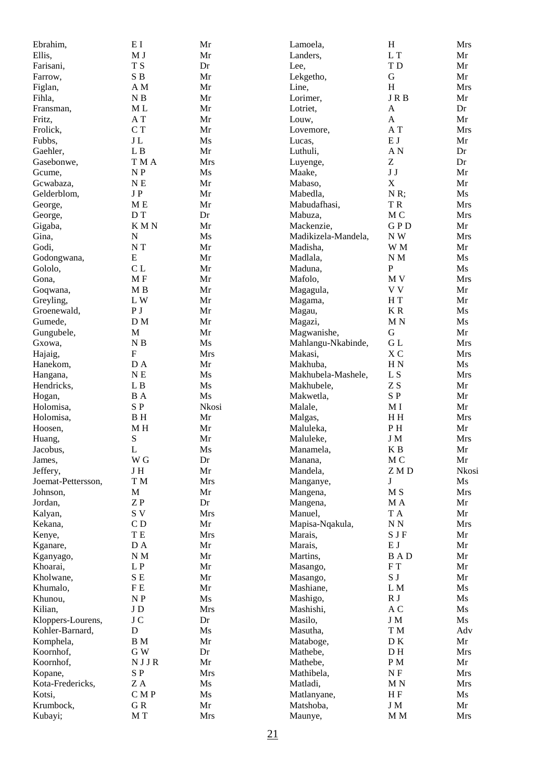| Ebrahim,             | EI                       | Mr          | Lamoela,             | $\mathbf H$                 | <b>Mrs</b>       |
|----------------------|--------------------------|-------------|----------------------|-----------------------------|------------------|
| Ellis,               | M <sub>J</sub>           | Mr          | Landers,             | L T                         | Mr               |
| Farisani,            | T S                      | Dr          | Lee,                 | TD                          | Mr               |
| Farrow,              | ${\bf S}$ B              | Mr          | Lekgetho,            | ${\bf G}$                   | Mr               |
| Figlan,              | A M                      | Mr          | Line,                | H                           | <b>Mrs</b>       |
| Fihla,               | $\mathbf N$ B            | Mr          | Lorimer,             | <b>JRB</b>                  | Mr               |
| Fransman,            | M <sub>L</sub>           | Mr          | Lotriet,             | $\boldsymbol{A}$            | Dr               |
| Fritz,               | A T                      | Mr          | Louw,                | $\boldsymbol{\mathsf{A}}$   | Mr               |
| Frolick,             | C T                      | Mr          | Lovemore,            | A T                         | <b>Mrs</b>       |
| Fubbs.               | $\rm J\,L$               | Ms          | Lucas,               | $\mathbf E$ J               | Mr               |
| Gaehler,             | ${\bf L}$ B              | Mr          | Luthuli,             | $\mathbf{A} \; \mathbf{N}$  | Dr               |
| Gasebonwe,           | T M A                    | <b>Mrs</b>  | Luyenge,             | Z                           | Dr               |
| Gcume,               | $\mathbf{N}\ \mathbf{P}$ | Ms          | Maake,               | $\bf J$ $\bf J$             | Mr               |
| Gcwabaza,            | $N \to$                  | Mr          | Mabaso,              | $\mathbf X$                 | Mr               |
| Gelderblom,          | $\rm J$ P                | Mr          | Mabedla,             | N R;                        | Ms               |
| George,              | M <sub>E</sub>           | Mr          | Mabudafhasi,         | TR.                         | <b>Mrs</b>       |
| George,              | D T                      | Dr          | Mabuza,              | $\rm M$ C                   | <b>Mrs</b>       |
| Gigaba,              | <b>KMN</b>               | Mr          | Mackenzie,           | <b>GPD</b>                  | Mr               |
| Gina,                | ${\bf N}$                | Ms          | Madikizela-Mandela,  | NW                          | <b>Mrs</b>       |
| Godi,                | N T                      | Mr          | Madisha,             | W M                         | Mr               |
| Godongwana,          | ${\bf E}$                | Mr          | Madlala,             | $\mathbf N$ M               | Ms               |
| Gololo,              | CL                       | Mr          | Maduna,              | ${\bf P}$                   | Ms               |
| Gona,                | MF                       | Mr          | Mafolo,              | M V                         | <b>Mrs</b>       |
| Goqwana,             | M B                      | Mr          | Magagula,            | V V                         | Mr               |
| Greyling,            | L W                      | Mr          | Magama,              | $\rm H~T$                   | Mr               |
| Groenewald,          | P <sub>J</sub>           | Mr          | Magau,               | $\mathbf K$ R               | Ms               |
| Gumede,              | D M                      | Mr          | Magazi,              | M N                         | Ms               |
| Gungubele,           | $\mathbf M$              | Mr          | Magwanishe,          | $\mathbf G$                 | Mr               |
| Gxowa,               | $\mathbf N$ B            | Ms          | Mahlangu-Nkabinde,   | ${\rm G}$ L                 | <b>Mrs</b>       |
| Hajaig,              | ${\bf F}$                | Mrs         | Makasi,              | XC                          | <b>Mrs</b>       |
| Hanekom,             | $\rm D$ A                | Mr          | Makhuba,             | $\rm H~N$                   | Ms               |
| Hangana,             | N E                      | Ms          | Makhubela-Mashele,   | L S                         | <b>Mrs</b>       |
| Hendricks,           | L B                      | Ms          | Makhubele,           | ZS                          | Mr               |
| Hogan,               | <b>B</b> A<br>SP         | Ms<br>Nkosi | Makwetla,            | SP                          | Mr               |
| Holomisa,            | $\, {\bf B} \,$ H        | Mr          | Malale,              | M <sub>I</sub><br>H H       | Mr<br><b>Mrs</b> |
| Holomisa,<br>Hoosen, | $\mathbf M$ H            | Mr          | Malgas,<br>Maluleka, | PH                          | Mr               |
| Huang,               | ${\bf S}$                | Mr          | Maluleke,            | J M                         | Mrs              |
| Jacobus,             | L                        | Ms          | Manamela,            | K B                         | Mr               |
| James,               | W <sub>G</sub>           | Dr          | Manana,              | M <sub>C</sub>              | Mr               |
| Jeffery,             | J H                      | Mr          | Mandela,             | ZMD                         | Nkosi            |
| Joemat-Pettersson,   | T M                      | Mrs         | Manganye,            | J                           | Ms               |
| Johnson,             | $\mathbf M$              | Mr          | Mangena,             | M S                         | Mrs              |
| Jordan,              | ZP                       | Dr          | Mangena,             | M A                         | Mr               |
| Kalyan,              | S V                      | Mrs         | Manuel,              | T A                         | Mr               |
| Kekana,              | CD                       | Mr          | Mapisa-Nqakula,      | $N\,N$                      | Mrs              |
| Kenye,               | ${\bf T}$ ${\bf E}$      | <b>Mrs</b>  | Marais,              | S J F                       | Mr               |
| Kganare,             | D A                      | Mr          | Marais,              | $\mathbf E$ J               | Mr               |
| Kganyago,            | $\mathbf N$ M            | Mr          | Martins,             | <b>BAD</b>                  | Mr               |
| Khoarai,             | $\mathbf L$ P            | Mr          | Masango,             | ${\rm F}$ T                 | Mr               |
| Kholwane,            | ${\bf S}$ E              | Mr          | Masango,             | S J                         | Mr               |
| Khumalo,             | F E                      | Mr          | Mashiane,            | L M                         | Ms               |
| Khunou,              | $\mathbf{N}\ \mathbf{P}$ | Ms          | Mashigo,             | R J                         | Ms               |
| Kilian,              | ${\rm J}$ D              | Mrs         | Mashishi,            | A C                         | Ms               |
| Kloppers-Lourens,    | $\rm J$ C                | Dr          | Masilo,              | $\boldsymbol{\mathrm{J}}$ M | Ms               |
| Kohler-Barnard,      | ${\bf D}$                | Ms          | Masutha,             | T M                         | Adv              |
| Komphela,            | $\, {\bf B} \,$ M        | Mr          | Mataboge,            | D K                         | Mr               |
| Koornhof,            | G W                      | Dr          | Mathebe,             | D H                         | Mrs              |
| Koornhof,            | NJJR                     | Mr          | Mathebe,             | $P_{M}$                     | Mr               |
| Kopane,              | SP                       | Mrs         | Mathibela,           | N <sub>F</sub>              | <b>Mrs</b>       |
| Kota-Fredericks,     | $\rm Z$ A                | Ms          | Matladi,             | M N                         | <b>Mrs</b>       |
| Kotsi,               | C M P                    | Ms          | Matlanyane,          | H F                         | Ms               |
| Krumbock,            | ${\bf G}$ R              | Mr          | Matshoba,            | J M                         | Mr               |
| Kubayi;              | M T                      | Mrs         | Maunye,              | M M                         | Mrs              |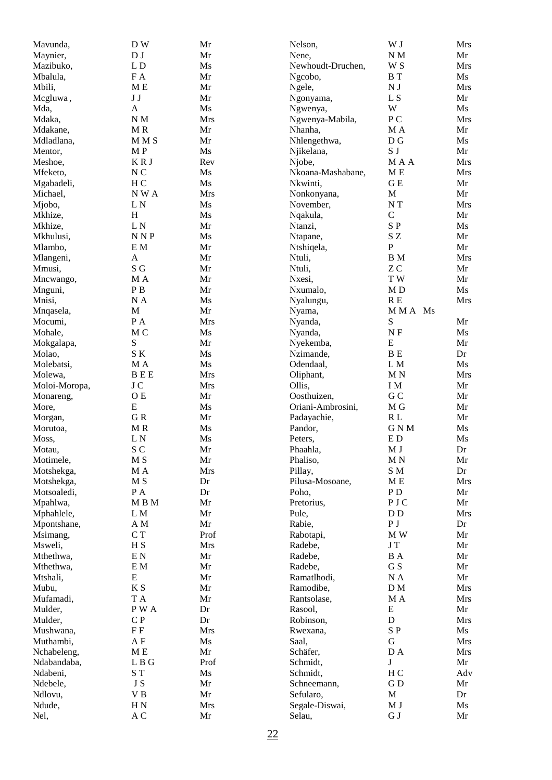| Mavunda,      | DW                          | Mr         | Nelson,           | W J                      | Mrs |
|---------------|-----------------------------|------------|-------------------|--------------------------|-----|
| Maynier,      | D J                         | Mr         | Nene,             | $N\,M$                   | Mr  |
| Mazibuko,     | $\mathbf L$ D               | Ms         | Newhoudt-Druchen, | W S                      | Mrs |
| Mbalula,      | FA                          | Mr         | Ngcobo,           | <b>B</b> T               | Ms  |
| Mbili,        | M <sub>E</sub>              | Mr         | Ngele,            | $\mathbf{N}\,\mathbf{J}$ | Mrs |
| Mcgluwa,      | J J                         | Mr         | Ngonyama,         | L S                      | Mr  |
| Mda,          | A                           | Ms         | Ngwenya,          | W                        | Ms  |
| Mdaka,        | N M                         | Mrs        | Ngwenya-Mabila,   | P <sub>C</sub>           | Mrs |
| Mdakane,      | MR                          | Mr         | Nhanha,           | M A                      | Mr  |
| Mdladlana,    | MM <sub>S</sub>             | Mr         | Nhlengethwa,      | D G                      | Ms  |
| Mentor,       | M P                         | Ms         | Njikelana,        | $\mathbf S$ J            | Mr  |
| Meshoe,       | <b>KRJ</b>                  | Rev        | Njobe,            | MAA                      | Mrs |
| Mfeketo,      | N <sub>C</sub>              | Ms         | Nkoana-Mashabane, | M <sub>E</sub>           | Mrs |
| Mgabadeli,    | H <sub>C</sub>              | Ms         | Nkwinti,          | G E                      | Mr  |
| Michael,      | NWA                         | <b>Mrs</b> | Nonkonyana,       | $\mathbf M$              | Mr  |
| Mjobo,        | L <sub>N</sub>              | Ms         | November,         | $NT$                     | Mrs |
| Mkhize,       | H                           | Ms         | Nqakula,          | $\mathsf C$              | Mr  |
| Mkhize,       | L <sub>N</sub>              | Mr         | Ntanzi,           | SP                       | Ms  |
| Mkhulusi,     | N <sub>NP</sub>             | Ms         | Ntapane,          | SZ.                      | Mr  |
| Mlambo,       | E M                         | Mr         | Ntshiqela,        | $\mathbf P$              | Mr  |
| Mlangeni,     | A                           | Mr         | Ntuli,            | <b>B</b> M               | Mrs |
| Mmusi,        | ${\bf S}$ ${\bf G}$         | Mr         | Ntuli,            | ZC                       | Mr  |
| Mncwango,     | M A                         | Mr         | Nxesi,            | TW                       | Mr  |
| Mnguni,       | $\mathbf{P}\,\mathbf{B}$    | Mr         | Nxumalo,          | MD                       | Ms  |
| Mnisi,        | NA                          | Ms         | Nyalungu,         | R E                      | Mrs |
| Mnqasela,     | M                           | Mr         | Nyama,            | MMA Ms                   |     |
| Mocumi,       | P A                         | <b>Mrs</b> | Nyanda,           | S                        | Mr  |
| Mohale,       | M C                         | Ms         | Nyanda,           | N F                      | Ms  |
| Mokgalapa,    | S                           | Mr         | Nyekemba,         | ${\bf E}$                | Mr  |
| Molao,        | SK                          | Ms         | Nzimande,         | B E                      | Dr  |
| Molebatsi,    | M A                         | Ms         | Odendaal,         | L M                      | Ms  |
| Molewa,       | <b>BEE</b>                  | Mrs        | Oliphant,         | M <sub>N</sub>           | Mrs |
| Moloi-Moropa, | J C                         | Mrs        | Ollis,            | I M                      | Mr  |
| Monareng,     | O E                         | Mr         | Oosthuizen,       | G <sub>C</sub>           | Mr  |
| More,         | E                           | Ms         | Oriani-Ambrosini, | $\mathbf M$ G            | Mr  |
| Morgan,       | GR                          | Mr         | Padayachie,       | $\mathbb R$ L            | Mr  |
| Morutoa,      | MR                          | Ms         | Pandor,           | GNM                      | Ms  |
| Moss,         | L <sub>N</sub>              | Ms         | Peters,           | E <sub>D</sub>           | Ms  |
| Motau,        | S <sub>C</sub>              | Mr         | Phaahla,          | M J                      | Dr  |
| Motimele,     | M S                         | Mr         | Phaliso,          | M <sub>N</sub>           | Mr  |
| Motshekga,    | M A                         | Mrs        | Pillay,           | S M                      | Dr  |
| Motshekga,    | M S                         | Dr         | Pilusa-Mosoane,   | M <sub>E</sub>           | Mrs |
| Motsoaledi,   | P A                         | Dr         | Poho,             | P <sub>D</sub>           | Mr  |
| Mpahlwa,      | MBM                         | Mr         | Pretorius,        | PJC                      | Mr  |
| Mphahlele,    | ${\rm L~M}$                 | Mr         | Pule,             | D <sub>D</sub>           | Mrs |
| Mpontshane,   | A M                         | Mr         | Rabie,            | P <sub>J</sub>           | Dr  |
| Msimang,      | C T                         | Prof       | Rabotapi,         | M W                      | Mr  |
| Msweli,       | H <sub>S</sub>              | Mrs        | Radebe,           | ${\bf J}$ T              | Mr  |
| Mthethwa,     | $\mathbf{E} \, \mathbf{N}$  | Mr         | Radebe,           | <b>B</b> A               | Mr  |
| Mthethwa,     | $\mathbf{E} \; \mathbf{M}$  | Mr         | Radebe,           | G S                      | Mr  |
| Mtshali,      | E                           | Mr         | Ramatlhodi,       | $\rm N$ A                | Mr  |
| Mubu,         | $\boldsymbol{\mathrm{K}}$ S | Mr         | Ramodibe,         | D M                      | Mrs |
| Mufamadi,     | T A                         | Mr         | Rantsolase,       | M A                      | Mrs |
| Mulder,       | P W A                       | Dr         | Rasool,           | ${\bf E}$                | Mr  |
| Mulder,       | C P                         | Dr         | Robinson,         | ${\bf D}$                | Mrs |
| Mushwana,     | F F                         | Mrs        | Rwexana,          | $\mathbf S$ P            | Ms  |
| Muthambi,     | A F                         | Ms         | Saal,             | G                        | Mrs |
| Nchabeleng,   | M <sub>E</sub>              | Mr         | Schäfer,          | D A                      | Mrs |
| Ndabandaba,   | L B G                       | Prof       | Schmidt,          | $\mathbf J$              | Mr  |
| Ndabeni,      | ST <sub></sub>              | Ms         | Schmidt,          | H <sub>C</sub>           | Adv |
| Ndebele,      | J S                         | Mr         | Schneemann,       | GD                       | Mr  |
| Ndlovu,       | ${\bf V}$ B                 | Mr         | Sefularo,         | $\mathbf M$              | Dr  |
| Ndude,        | H <sub>N</sub>              | Mrs        | Segale-Diswai,    | $\mathbf M$ J            | Ms  |
| Nel,          | A C                         | Mr         | Selau,            | ${\bf G}$ J              | Mr  |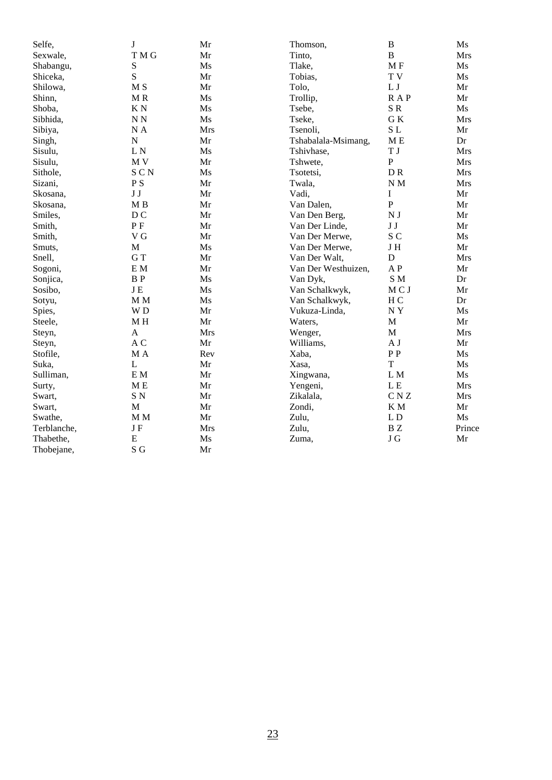| Selfe,      | J                          | Mr         | Thomson,            | $\, {\bf B}$             | Ms         |
|-------------|----------------------------|------------|---------------------|--------------------------|------------|
| Sexwale,    | T M G                      | Mr         | Tinto,              | $\, {\bf B}$             | <b>Mrs</b> |
| Shabangu,   | ${\bf S}$                  | Ms         | Tlake,              | MF                       | Ms         |
| Shiceka,    | S                          | Mr         | Tobias,             | T V                      | Ms         |
| Shilowa,    | M <sub>S</sub>             | Mr         | Tolo,               | $\mathbf L$ J            | Mr         |
| Shinn,      | M R                        | Ms         | Trollip,            | <b>RAP</b>               | Mr         |
| Shoba,      | KN                         | Ms         | Tsebe,              | SR                       | Ms         |
| Sibhida,    | N N                        | Ms         | Tseke,              | GK                       | <b>Mrs</b> |
| Sibiya,     | NA                         | <b>Mrs</b> | Tsenoli,            | SL                       | Mr         |
| Singh,      | $\overline{N}$             | Mr         | Tshabalala-Msimang, | M E                      | Dr         |
| Sisulu,     | LN                         | Ms         | Tshivhase,          | T J                      | <b>Mrs</b> |
| Sisulu,     | M <sub>V</sub>             | Mr         | Tshwete,            | ${\bf P}$                | <b>Mrs</b> |
| Sithole,    | SCN                        | Ms         | Tsotetsi,           | DR                       | <b>Mrs</b> |
| Sizani,     | $\mathbf{P}\ \mathbf{S}$   | Mr         | Twala,              | $\mathbf N$ M            | <b>Mrs</b> |
| Skosana,    | $\bf J$ $\bf J$            | Mr         | Vadi,               | $\bf I$                  | Mr         |
| Skosana,    | M <sub>B</sub>             | Mr         | Van Dalen,          | ${\bf P}$                | Mr         |
| Smiles,     | D <sub>C</sub>             | Mr         | Van Den Berg,       | $\mathbf{N}\,\mathbf{J}$ | Mr         |
| Smith,      | P F                        | Mr         | Van Der Linde,      | J J                      | Mr         |
| Smith,      | V G                        | Mr         | Van Der Merwe,      | S <sub>C</sub>           | Ms         |
| Smuts,      | M                          | Ms         | Van Der Merwe,      | JH                       | Mr         |
| Snell,      | GT                         | Mr         | Van Der Walt,       | ${\bf D}$                | <b>Mrs</b> |
| Sogoni,     | E M                        | Mr         | Van Der Westhuizen, | A P                      | Mr         |
| Sonjica,    | <b>BP</b>                  | Ms         | Van Dyk,            | SM                       | Dr         |
| Sosibo,     | $J\,E$                     | Ms         | Van Schalkwyk,      | MCJ                      | Mr         |
| Sotyu,      | $\mathbf M$ M              | Ms         | Van Schalkwyk,      | H <sub>C</sub>           | Dr         |
| Spies,      | WD                         | Mr         | Vukuza-Linda,       | NY                       | Ms         |
| Steele,     | $\mathbf M$ H              | Mr         | Waters,             | $\mathbf M$              | Mr         |
| Steyn,      | $\mathbf{A}$               | Mrs        | Wenger,             | $\mathbf M$              | <b>Mrs</b> |
| Steyn,      | A C                        | Mr         | Williams,           | A J                      | Mr         |
| Stofile,    | M A                        | Rev        | Xaba,               | $\rm P\,P$               | Ms         |
| Suka,       | L                          | Mr         | Xasa,               | $\mathbf T$              | Ms         |
| Sulliman,   | $\mathbf{E} \; \mathbf{M}$ | Mr         | Xingwana,           | L M                      | Ms         |
| Surty,      | M <sub>E</sub>             | Mr         | Yengeni,            | L <sub>E</sub>           | <b>Mrs</b> |
| Swart,      | $\mathbf S$ N              | Mr         | Zikalala,           | C N Z                    | Mrs        |
| Swart,      | M                          | Mr         | Zondi,              | K M                      | Mr         |
| Swathe,     | $\mathbf M$ M              | Mr         | Zulu,               | L D                      | Ms         |
| Terblanche, | J F                        | Mrs        | Zulu,               | $\mathbf{B}$ Z           | Prince     |
| Thabethe,   | E                          | Ms         | Zuma,               | $\rm J$ $\rm G$          | Mr         |
| Thobejane,  | S G                        | Mr         |                     |                          |            |